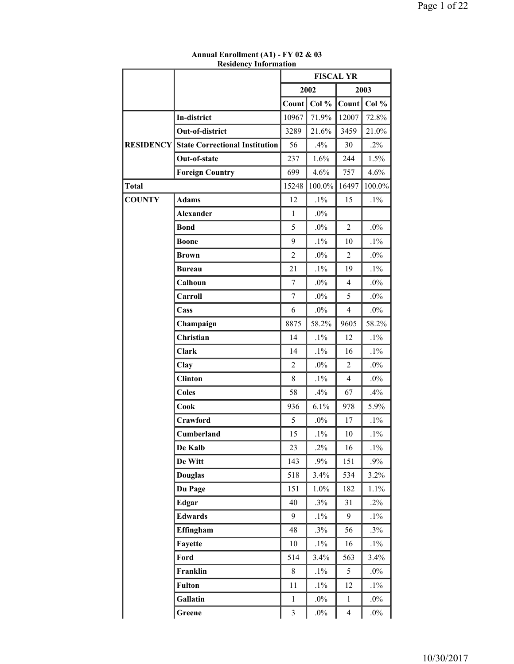|                  | кеменсу ппогшаноп                     | <b>FISCAL YR</b> |        |                |        |
|------------------|---------------------------------------|------------------|--------|----------------|--------|
|                  |                                       |                  | 2002   |                | 2003   |
|                  |                                       | Count            | Col %  | Count          | Col %  |
|                  | In-district                           | 10967            | 71.9%  | 12007          | 72.8%  |
|                  | Out-of-district                       | 3289             | 21.6%  | 3459           | 21.0%  |
| <b>RESIDENCY</b> | <b>State Correctional Institution</b> | 56               | .4%    | 30             | $.2\%$ |
|                  | Out-of-state                          | 237              | 1.6%   | 244            | 1.5%   |
|                  | <b>Foreign Country</b>                | 699              | 4.6%   | 757            | 4.6%   |
| <b>Total</b>     |                                       | 15248            | 100.0% | 16497          | 100.0% |
| <b>COUNTY</b>    | <b>Adams</b>                          | 12               | $.1\%$ | 15             | $.1\%$ |
|                  | <b>Alexander</b>                      | $\mathbf{1}$     | $.0\%$ |                |        |
|                  | <b>Bond</b>                           | 5                | $.0\%$ | $\overline{c}$ | $.0\%$ |
|                  | <b>Boone</b>                          | 9                | $.1\%$ | 10             | $.1\%$ |
|                  | <b>Brown</b>                          | $\overline{c}$   | $.0\%$ | $\overline{2}$ | $.0\%$ |
|                  | <b>Bureau</b>                         | 21               | $.1\%$ | 19             | $.1\%$ |
|                  | Calhoun                               | $\boldsymbol{7}$ | $.0\%$ | 4              | $.0\%$ |
|                  | Carroll                               | $\tau$           | $.0\%$ | 5              | $.0\%$ |
|                  | Cass                                  | 6                | $.0\%$ | $\overline{4}$ | $.0\%$ |
|                  | Champaign                             | 8875             | 58.2%  | 9605           | 58.2%  |
|                  | Christian                             | 14               | $.1\%$ | 12             | $.1\%$ |
|                  | <b>Clark</b>                          | 14               | $.1\%$ | 16             | $.1\%$ |
|                  | Clay                                  | $\overline{2}$   | $.0\%$ | $\overline{2}$ | $.0\%$ |
|                  | <b>Clinton</b>                        | 8                | $.1\%$ | $\overline{4}$ | $.0\%$ |
|                  | <b>Coles</b>                          | 58               | $.4\%$ | 67             | $.4\%$ |
|                  | Cook                                  | 936              | 6.1%   | 978            | 5.9%   |
|                  | Crawford                              | 5                | $.0\%$ | 17             | $.1\%$ |
|                  | Cumberland                            | 15               | $.1\%$ | 10             | $.1\%$ |
|                  | De Kalb                               | 23               | $.2\%$ | 16             | $.1\%$ |
|                  | De Witt                               | 143              | $.9\%$ | 151            | $.9\%$ |
|                  | <b>Douglas</b>                        | 518              | 3.4%   | 534            | 3.2%   |
|                  | Du Page                               | 151              | 1.0%   | 182            | 1.1%   |
|                  | <b>Edgar</b>                          | 40               | .3%    | 31             | $.2\%$ |
|                  | <b>Edwards</b>                        | 9                | $.1\%$ | 9              | $.1\%$ |
|                  | Effingham                             | 48               | .3%    | 56             | $.3\%$ |
|                  | Fayette                               | 10               | $.1\%$ | 16             | $.1\%$ |
|                  | Ford                                  | 514              | 3.4%   | 563            | 3.4%   |
|                  | Franklin                              | 8                | $.1\%$ | 5              | $.0\%$ |
|                  | <b>Fulton</b>                         | 11               | $.1\%$ | 12             | $.1\%$ |
|                  | Gallatin                              | $\mathbf{1}$     | $.0\%$ | 1              | $.0\%$ |
|                  | Greene                                | $\mathfrak{Z}$   | $.0\%$ | $\overline{4}$ | $.0\%$ |

**Annual Enrollment (A1) - FY 02 & 03 Residency Information**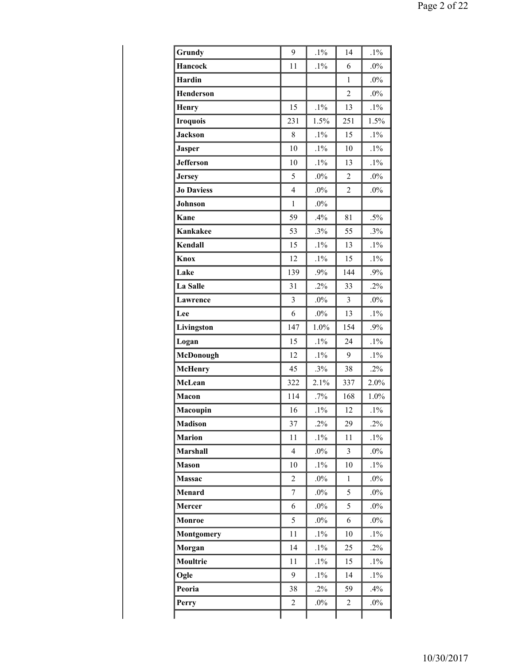| Grundy            | 9                        | $.1\%$ | 14             | $.1\%$ |
|-------------------|--------------------------|--------|----------------|--------|
| <b>Hancock</b>    | 11                       | $.1\%$ | 6              | $.0\%$ |
| Hardin            |                          |        | $\mathbf{1}$   | $.0\%$ |
| <b>Henderson</b>  |                          |        | $\overline{c}$ | $.0\%$ |
| <b>Henry</b>      | 15                       | $.1\%$ | 13             | $.1\%$ |
| <b>Iroquois</b>   | 231                      | 1.5%   | 251            | 1.5%   |
| <b>Jackson</b>    | 8                        | $.1\%$ | 15             | $.1\%$ |
| <b>Jasper</b>     | 10                       | $.1\%$ | 10             | $.1\%$ |
| <b>Jefferson</b>  | 10                       | $.1\%$ | 13             | $.1\%$ |
| <b>Jersey</b>     | 5                        | $.0\%$ | $\overline{2}$ | $.0\%$ |
| <b>Jo Daviess</b> | $\overline{\mathcal{L}}$ | $.0\%$ | $\overline{c}$ | $.0\%$ |
| Johnson           | $\mathbf{1}$             | $.0\%$ |                |        |
| Kane              | 59                       | .4%    | 81             | $.5\%$ |
| <b>Kankakee</b>   | 53                       | .3%    | 55             | .3%    |
| Kendall           | 15                       | $.1\%$ | 13             | $.1\%$ |
| Knox              | 12                       | $.1\%$ | 15             | $.1\%$ |
| Lake              | 139                      | .9%    | 144            | .9%    |
| La Salle          | 31                       | $.2\%$ | 33             | $.2\%$ |
| Lawrence          | $\overline{3}$           | $.0\%$ | $\overline{3}$ | $.0\%$ |
| Lee               | 6                        | $.0\%$ | 13             | $.1\%$ |
| Livingston        | 147                      | 1.0%   | 154            | .9%    |
| Logan             | 15                       | $.1\%$ | 24             | $.1\%$ |
| McDonough         | 12                       | $.1\%$ | 9              | $.1\%$ |
| <b>McHenry</b>    | 45                       | .3%    | 38             | $.2\%$ |
| McLean            | 322                      | 2.1%   | 337            | 2.0%   |
| Macon             | 114                      | .7%    | 168            | 1.0%   |
| Macoupin          | 16                       | $.1\%$ | 12             | $.1\%$ |
| <b>Madison</b>    | 37                       | $.2\%$ | 29             | $.2\%$ |
| <b>Marion</b>     | 11                       | $.1\%$ | 11             | $.1\%$ |
| Marshall          | $\overline{4}$           | $.0\%$ | $\overline{3}$ | $.0\%$ |
| <b>Mason</b>      | 10                       | $.1\%$ | 10             | $.1\%$ |
| Massac            | $\overline{c}$           | $.0\%$ | 1              | $.0\%$ |
| Menard            | $\tau$                   | $.0\%$ | 5              | $.0\%$ |
| Mercer            | 6                        | $.0\%$ | 5              | $.0\%$ |
| Monroe            | 5                        | $.0\%$ | 6              | $.0\%$ |
| <b>Montgomery</b> | 11                       | $.1\%$ | 10             | $.1\%$ |
| Morgan            | 14                       | $.1\%$ | 25             | $.2\%$ |
| Moultrie          | 11                       | $.1\%$ | 15             | $.1\%$ |
| Ogle              | 9                        | $.1\%$ | 14             | $.1\%$ |
| Peoria            | 38                       | $.2\%$ | 59             | .4%    |
| Perry             | 2                        | $.0\%$ | 2              | $.0\%$ |
|                   |                          |        |                |        |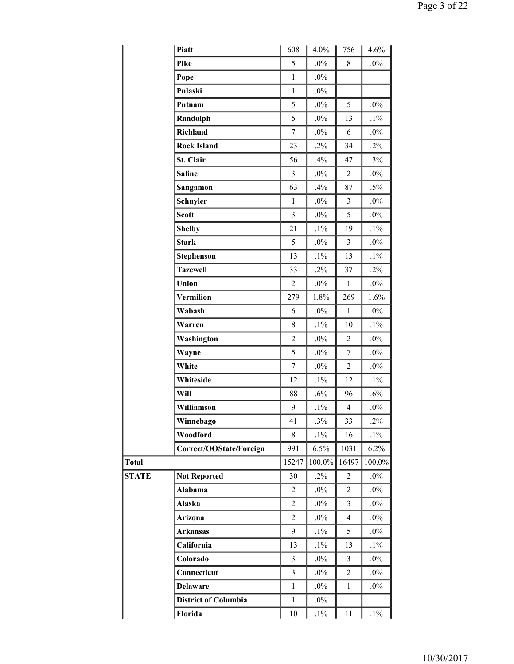|              | Piatt                       | 608            | 4.0%   | 756            | 4.6%   |
|--------------|-----------------------------|----------------|--------|----------------|--------|
|              | Pike                        | 5              | $.0\%$ | 8              | $.0\%$ |
|              | Pope                        | $\mathbf{1}$   | $.0\%$ |                |        |
|              | Pulaski                     | $\mathbf{1}$   | $.0\%$ |                |        |
|              | Putnam                      | 5              | $.0\%$ | 5              | $.0\%$ |
|              | Randolph                    | 5              | $.0\%$ | 13             | $.1\%$ |
|              | Richland                    | $\overline{7}$ | $.0\%$ | 6              | $.0\%$ |
|              | <b>Rock Island</b>          | 23             | $.2\%$ | 34             | $.2\%$ |
|              | St. Clair                   | 56             | .4%    | 47             | $.3\%$ |
|              | <b>Saline</b>               | $\overline{3}$ | $.0\%$ | $\overline{2}$ | $.0\%$ |
|              | Sangamon                    | 63             | .4%    | 87             | $.5\%$ |
|              | Schuyler                    | $\mathbf{1}$   | $.0\%$ | 3              | $.0\%$ |
|              | <b>Scott</b>                | 3              | $.0\%$ | 5              | $.0\%$ |
|              | <b>Shelby</b>               | 21             | $.1\%$ | 19             | $.1\%$ |
|              | <b>Stark</b>                | 5              | $.0\%$ | 3              | $.0\%$ |
|              | <b>Stephenson</b>           | 13             | $.1\%$ | 13             | $.1\%$ |
|              | <b>Tazewell</b>             | 33             | $.2\%$ | 37             | $.2\%$ |
|              | Union                       | $\overline{2}$ | $.0\%$ | $\mathbf{1}$   | $.0\%$ |
|              | Vermilion                   | 279            | 1.8%   | 269            | 1.6%   |
|              | Wabash                      | 6              | $.0\%$ | $\mathbf{1}$   | $.0\%$ |
|              | Warren                      | 8              | $.1\%$ | 10             | $.1\%$ |
|              | Washington                  | $\overline{2}$ | $.0\%$ | $\overline{c}$ | $.0\%$ |
|              | Wayne                       | 5              | $.0\%$ | $\overline{7}$ | $.0\%$ |
|              | White                       | $\overline{7}$ | $.0\%$ | $\overline{2}$ | $.0\%$ |
|              | Whiteside                   | 12             | $.1\%$ | 12             | $.1\%$ |
|              | Will                        | 88             | $.6\%$ | 96             | .6%    |
|              | Williamson                  | 9              | $.1\%$ | 4              | $.0\%$ |
|              | Winnebago                   | 41             | .3%    | 33             | $.2\%$ |
|              | Woodford                    | 8              | $.1\%$ | 16             | $.1\%$ |
|              | Correct/OOState/Foreign     | 991            | 6.5%   | 1031           | 6.2%   |
| <b>Total</b> |                             | 15247          | 100.0% | 16497          | 100.0% |
| <b>STATE</b> | <b>Not Reported</b>         | 30             | $.2\%$ | 2              | $.0\%$ |
|              | Alabama                     | $\overline{c}$ | $.0\%$ | $\overline{2}$ | $.0\%$ |
|              | Alaska                      | $\overline{c}$ | $.0\%$ | 3              | $.0\%$ |
|              | Arizona                     | $\overline{c}$ | $.0\%$ | $\overline{4}$ | $.0\%$ |
|              | <b>Arkansas</b>             | 9              | $.1\%$ | 5              | $.0\%$ |
|              | California                  | 13             | $.1\%$ | 13             | $.1\%$ |
|              | Colorado                    | 3              | $.0\%$ | 3              | $.0\%$ |
|              | Connecticut                 | $\overline{3}$ | $.0\%$ | $\overline{c}$ | $.0\%$ |
|              | <b>Delaware</b>             | $\mathbf{1}$   | $.0\%$ | $\mathbf{1}$   | $.0\%$ |
|              | <b>District of Columbia</b> | $\mathbf{1}$   | $.0\%$ |                |        |
|              | Florida                     | 10             | $.1\%$ | 11             | $.1\%$ |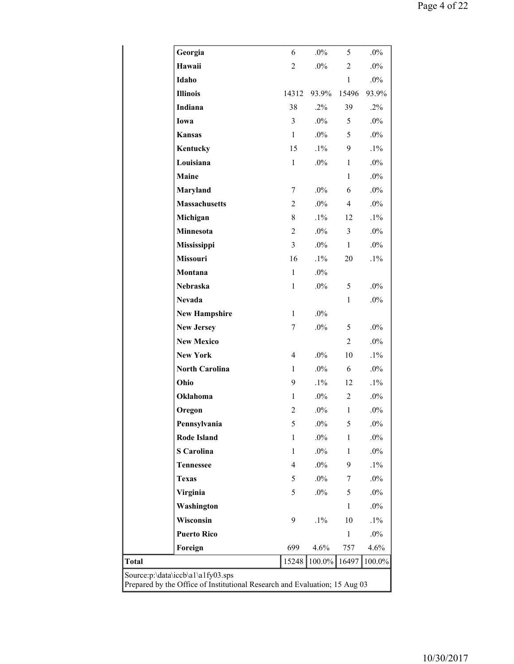|                                                                                                                 | Georgia               | 6              | $.0\%$ | 5              | $.0\%$ |  |  |
|-----------------------------------------------------------------------------------------------------------------|-----------------------|----------------|--------|----------------|--------|--|--|
|                                                                                                                 | Hawaii                | $\overline{c}$ | $.0\%$ | $\overline{c}$ | $.0\%$ |  |  |
|                                                                                                                 | Idaho                 |                |        | $\mathbf{1}$   | $.0\%$ |  |  |
|                                                                                                                 | <b>Illinois</b>       | 14312          | 93.9%  | 15496          | 93.9%  |  |  |
|                                                                                                                 | Indiana               | 38             | $.2\%$ | 39             | $.2\%$ |  |  |
|                                                                                                                 | Iowa                  | $\overline{3}$ | $.0\%$ | 5              | $.0\%$ |  |  |
|                                                                                                                 | <b>Kansas</b>         | $\mathbf{1}$   | $.0\%$ | 5              | $.0\%$ |  |  |
|                                                                                                                 | Kentucky              | 15             | $.1\%$ | 9              | $.1\%$ |  |  |
|                                                                                                                 | Louisiana             | $\mathbf{1}$   | $.0\%$ | $\mathbf{1}$   | $.0\%$ |  |  |
|                                                                                                                 | Maine                 |                |        | $\mathbf{1}$   | $.0\%$ |  |  |
|                                                                                                                 | Maryland              | 7              | $.0\%$ | 6              | $.0\%$ |  |  |
|                                                                                                                 | <b>Massachusetts</b>  | $\overline{2}$ | $.0\%$ | $\overline{4}$ | $.0\%$ |  |  |
|                                                                                                                 | Michigan              | 8              | $.1\%$ | 12             | $.1\%$ |  |  |
|                                                                                                                 | Minnesota             | $\overline{2}$ | $.0\%$ | $\overline{3}$ | $.0\%$ |  |  |
|                                                                                                                 | Mississippi           | $\overline{3}$ | $.0\%$ | $\mathbf{1}$   | $.0\%$ |  |  |
|                                                                                                                 | <b>Missouri</b>       | 16             | $.1\%$ | 20             | $.1\%$ |  |  |
|                                                                                                                 | Montana               | $\mathbf{1}$   | $.0\%$ |                |        |  |  |
|                                                                                                                 | Nebraska              | $\mathbf{1}$   | $.0\%$ | 5              | $.0\%$ |  |  |
|                                                                                                                 | <b>Nevada</b>         |                |        | $\mathbf{1}$   | $.0\%$ |  |  |
|                                                                                                                 | <b>New Hampshire</b>  | $\mathbf{1}$   | $.0\%$ |                |        |  |  |
|                                                                                                                 | <b>New Jersey</b>     | 7              | $.0\%$ | 5              | $.0\%$ |  |  |
|                                                                                                                 | <b>New Mexico</b>     |                |        | $\overline{2}$ | $.0\%$ |  |  |
|                                                                                                                 | <b>New York</b>       | $\overline{4}$ | $.0\%$ | 10             | $.1\%$ |  |  |
|                                                                                                                 | <b>North Carolina</b> | 1              | $.0\%$ | 6              | $.0\%$ |  |  |
|                                                                                                                 | Ohio                  | 9              | $.1\%$ | 12             | $.1\%$ |  |  |
|                                                                                                                 | Oklahoma              | $\mathbf{1}$   | $.0\%$ | $\overline{c}$ | $.0\%$ |  |  |
|                                                                                                                 | Oregon                | $\overline{c}$ | $.0\%$ | $\mathbf{1}$   | $.0\%$ |  |  |
|                                                                                                                 | Pennsylvania          | 5              | $.0\%$ | 5              | $.0\%$ |  |  |
|                                                                                                                 | <b>Rode Island</b>    | $\mathbf{1}$   | $.0\%$ | $\mathbf{1}$   | $.0\%$ |  |  |
|                                                                                                                 | <b>S</b> Carolina     | $\mathbf{1}$   | $.0\%$ | $\mathbf{1}$   | $.0\%$ |  |  |
|                                                                                                                 | <b>Tennessee</b>      | $\overline{4}$ | $.0\%$ | 9              | $.1\%$ |  |  |
|                                                                                                                 | <b>Texas</b>          | 5              | $.0\%$ | 7              | $.0\%$ |  |  |
|                                                                                                                 | Virginia              | 5              | $.0\%$ | 5              | $.0\%$ |  |  |
|                                                                                                                 | Washington            |                |        | $\mathbf{1}$   | $.0\%$ |  |  |
|                                                                                                                 | Wisconsin             | 9              | $.1\%$ | 10             | $.1\%$ |  |  |
|                                                                                                                 | <b>Puerto Rico</b>    |                |        | $\,1$          | $.0\%$ |  |  |
|                                                                                                                 | Foreign               | 699            | 4.6%   | 757            | 4.6%   |  |  |
| Total                                                                                                           |                       | 15248          | 100.0% | 16497          | 100.0% |  |  |
| Source:p:\data\iccb\a1\a1fy03.sps<br>Prepared by the Office of Institutional Research and Evaluation; 15 Aug 03 |                       |                |        |                |        |  |  |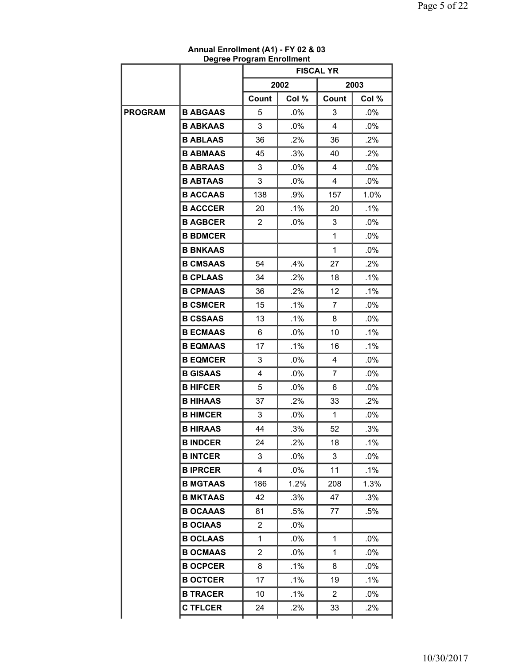|                | Degree Program Enrollment |                |                  |                |         |
|----------------|---------------------------|----------------|------------------|----------------|---------|
|                |                           |                | <b>FISCAL YR</b> |                |         |
|                |                           |                | 2002             |                | 2003    |
|                |                           | Count          | Col %            | Count          | Col %   |
| <b>PROGRAM</b> | <b>B ABGAAS</b>           | 5              | $.0\%$           | 3              | $.0\%$  |
|                | <b>B ABKAAS</b>           | 3              | $.0\%$           | 4              | $.0\%$  |
|                | <b>B ABLAAS</b>           | 36             | .2%              | 36             | $.2\%$  |
|                | <b>B ABMAAS</b>           | 45             | $.3\%$           | 40             | $.2\%$  |
|                | <b>B ABRAAS</b>           | 3              | $.0\%$           | 4              | $.0\%$  |
|                | <b>B ABTAAS</b>           | 3              | .0%              | 4              | .0%     |
|                | <b>B ACCAAS</b>           | 138            | .9%              | 157            | $1.0\%$ |
|                | <b>B ACCCER</b>           | 20             | $.1\%$           | 20             | $.1\%$  |
|                | <b>B AGBCER</b>           | $\overline{2}$ | $.0\%$           | 3              | $.0\%$  |
|                | <b>B BDMCER</b>           |                |                  | 1              | $.0\%$  |
|                | <b>B BNKAAS</b>           |                |                  | 1              | $.0\%$  |
|                | <b>B CMSAAS</b>           | 54             | .4%              | 27             | $.2\%$  |
|                | <b>B CPLAAS</b>           | 34             | .2%              | 18             | $.1\%$  |
|                | <b>B CPMAAS</b>           | 36             | $.2\%$           | 12             | $.1\%$  |
|                | <b>B CSMCER</b>           | 15             | $.1\%$           | 7              | $.0\%$  |
|                | <b>B CSSAAS</b>           | 13             | $.1\%$           | 8              | $.0\%$  |
|                | <b>B ECMAAS</b>           | 6              | $.0\%$           | 10             | $.1\%$  |
|                | <b>B EQMAAS</b>           | 17             | $.1\%$           | 16             | $.1\%$  |
|                | <b>B EQMCER</b>           | 3              | $.0\%$           | 4              | $.0\%$  |
|                | <b>B GISAAS</b>           | 4              | $.0\%$           | $\overline{7}$ | $.0\%$  |
|                | <b>B HIFCER</b>           | 5              | $.0\%$           | 6              | $.0\%$  |
|                | <b>B HIHAAS</b>           | 37             | .2%              | 33             | $.2\%$  |
|                | <b>B HIMCER</b>           | 3              | $.0\%$           | $\mathbf{1}$   | $.0\%$  |
|                | <b>B HIRAAS</b>           | 44             | .3%              | 52             | .3%     |
|                | <b>B INDCER</b>           | 24             | .2%              | 18             | $.1\%$  |
|                | <b>B INTCER</b>           | 3              | $.0\%$           | 3              | $.0\%$  |
|                | <b>BIPRCER</b>            | 4              | .0%              | 11             | $.1\%$  |
|                | <b>B MGTAAS</b>           | 186            | 1.2%             | 208            | 1.3%    |
|                | <b>B MKTAAS</b>           | 42             | .3%              | 47             | .3%     |
|                | <b>B OCAAAS</b>           | 81             | .5%              | 77             | .5%     |
|                | <b>B OCIAAS</b>           | 2              | $.0\%$           |                |         |
|                | <b>B OCLAAS</b>           | 1              | $.0\%$           | 1              | .0%     |
|                | <b>B OCMAAS</b>           | 2              | $.0\%$           | 1              | $.0\%$  |
|                | <b>B OCPCER</b>           | 8              | $.1\%$           | 8              | $.0\%$  |
|                | <b>B OCTCER</b>           | 17             | .1%              | 19             | $.1\%$  |
|                | <b>B TRACER</b>           | 10             | .1%              | $\overline{2}$ | .0%     |
|                | <b>C TFLCER</b>           | 24             | $.2\%$           | 33             | $.2\%$  |
|                |                           |                |                  |                |         |

## **Annual Enrollment (A1) - FY 02 & 03 Degree Program Enrollment**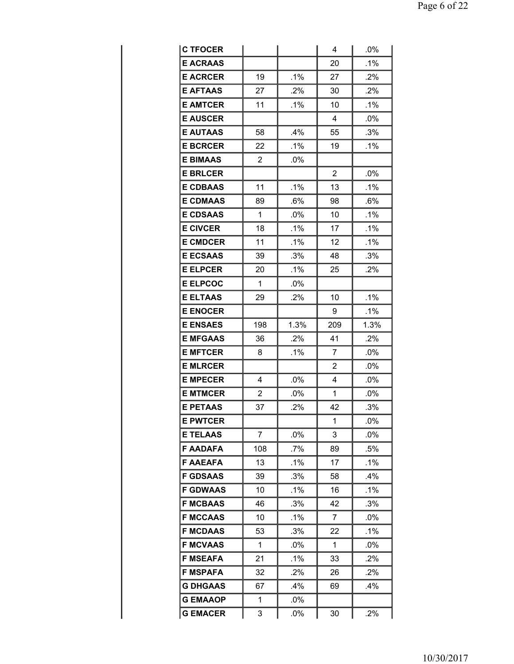| <b>C TFOCER</b> |                |        | 4              | .0%    |
|-----------------|----------------|--------|----------------|--------|
| <b>E ACRAAS</b> |                |        | 20             | .1%    |
| <b>E ACRCER</b> | 19             | $.1\%$ | 27             | .2%    |
| <b>E AFTAAS</b> | 27             | .2%    | 30             | .2%    |
| <b>E AMTCER</b> | 11             | $.1\%$ | 10             | $.1\%$ |
| <b>E AUSCER</b> |                |        | 4              | .0%    |
| <b>E AUTAAS</b> | 58             | .4%    | 55             | .3%    |
| <b>E BCRCER</b> | 22             | $.1\%$ | 19             | $.1\%$ |
| <b>E BIMAAS</b> | $\overline{2}$ | $.0\%$ |                |        |
| <b>E BRLCER</b> |                |        | 2              | .0%    |
| <b>E CDBAAS</b> | 11             | $.1\%$ | 13             | $.1\%$ |
| <b>E CDMAAS</b> | 89             | .6%    | 98             | .6%    |
| <b>E CDSAAS</b> | 1              | .0%    | 10             | $.1\%$ |
| <b>E CIVCER</b> | 18             | .1%    | 17             | .1%    |
| <b>E CMDCER</b> | 11             | $.1\%$ | 12             | $.1\%$ |
| <b>E ECSAAS</b> | 39             | .3%    | 48             | .3%    |
| <b>E ELPCER</b> | 20             | $.1\%$ | 25             | .2%    |
| <b>E ELPCOC</b> | 1              | .0%    |                |        |
| <b>E ELTAAS</b> | 29             | .2%    | 10             | .1%    |
| <b>E ENOCER</b> |                |        | 9              | .1%    |
| <b>E ENSAES</b> | 198            | 1.3%   | 209            | 1.3%   |
| <b>E MFGAAS</b> | 36             | .2%    | 41             | .2%    |
|                 |                |        |                |        |
| <b>E MFTCER</b> | 8              | .1%    | $\overline{7}$ | .0%    |
| <b>E MLRCER</b> |                |        | 2              | .0%    |
| <b>E MPECER</b> | 4              | .0%    | 4              | .0%    |
| <b>E MTMCER</b> | $\overline{2}$ | .0%    | 1              | .0%    |
| <b>E PETAAS</b> | 37             | .2%    | 42             | .3%    |
| <b>E PWTCER</b> |                |        | 1              | .0%    |
| <b>E TELAAS</b> | 7              | .0%    | 3              | .0%    |
| <b>F AADAFA</b> | 108            | .7%    | 89             | .5%    |
| <b>F AAEAFA</b> | 13             | $.1\%$ | 17             | $.1\%$ |
| <b>F GDSAAS</b> | 39             | .3%    | 58             | .4%    |
| <b>F GDWAAS</b> | 10             | .1%    | 16             | .1%    |
| <b>F MCBAAS</b> | 46             | .3%    | 42             | .3%    |
| <b>F MCCAAS</b> | 10             | .1%    | 7              | .0%    |
| <b>F MCDAAS</b> | 53             | .3%    | 22             | .1%    |
| <b>F MCVAAS</b> | 1              | $.0\%$ | 1              | .0%    |
| <b>F MSEAFA</b> | 21             | .1%    | 33             | $.2\%$ |
| <b>F MSPAFA</b> | 32             | .2%    | 26             | .2%    |
| <b>G DHGAAS</b> | 67             | .4%    | 69             | .4%    |
| <b>G EMAAOP</b> | 1              | .0%    |                |        |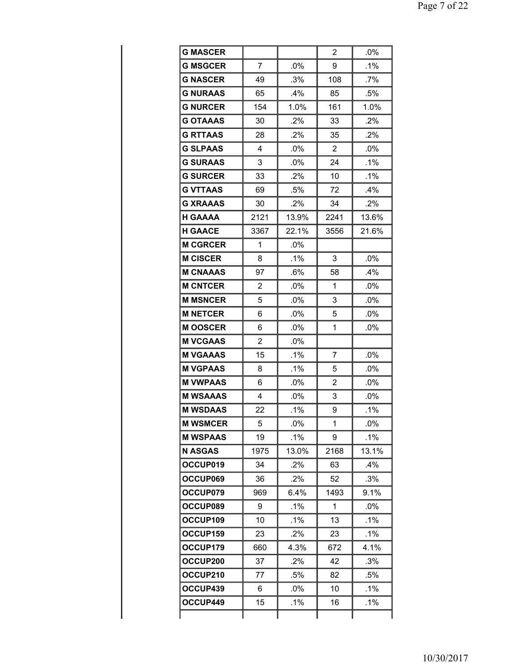| <b>G MASCER</b> |                |        | $\overline{2}$ | .0%    |
|-----------------|----------------|--------|----------------|--------|
| <b>G MSGCER</b> | 7              | .0%    | 9              | .1%    |
| <b>G NASCER</b> | 49             | .3%    | 108            | $.7\%$ |
| <b>G NURAAS</b> | 65             | .4%    | 85             | .5%    |
| <b>G NURCER</b> | 154            | 1.0%   | 161            | 1.0%   |
| <b>G OTAAAS</b> | 30             | $.2\%$ | 33             | .2%    |
| <b>G RTTAAS</b> | 28             | .2%    | 35             | .2%    |
| <b>G SLPAAS</b> | 4              | .0%    | 2              | .0%    |
| <b>G SURAAS</b> | 3              | $.0\%$ | 24             | .1%    |
| <b>G SURCER</b> | 33             | .2%    | 10             | $.1\%$ |
| <b>G VTTAAS</b> | 69             | .5%    | 72             | .4%    |
| <b>G XRAAAS</b> | 30             | .2%    | 34             | .2%    |
| <b>H GAAAA</b>  | 2121           | 13.9%  | 2241           | 13.6%  |
| <b>H GAACE</b>  | 3367           | 22.1%  | 3556           | 21.6%  |
| <b>M CGRCER</b> | 1              | .0%    |                |        |
| <b>M CISCER</b> | 8              | .1%    | 3              | .0%    |
| <b>M CNAAAS</b> | 97             | .6%    | 58             | $.4\%$ |
| <b>M CNTCER</b> | $\overline{2}$ | .0%    | 1              | .0%    |
| <b>M MSNCER</b> | 5              | .0%    | 3              | .0%    |
| <b>M NETCER</b> | 6              | .0%    | 5              | .0%    |
| <b>MOOSCER</b>  | 6              | .0%    | 1              | .0%    |
| <b>M VCGAAS</b> | $\overline{2}$ | .0%    |                |        |
| <b>M VGAAAS</b> | 15             | $.1\%$ | 7              | .0%    |
| <b>M VGPAAS</b> | 8              | .1%    | 5              | .0%    |
| <b>M VWPAAS</b> | 6              | .0%    | 2              | .0%    |
| <b>M WSAAAS</b> | 4              | .0%    | 3              | .0%    |
| <b>M WSDAAS</b> | 22             | .1%    | 9              | $.1\%$ |
| <b>M WSMCER</b> | 5              | .0%    | 1              | .0%    |
| <b>M WSPAAS</b> | 19             | .1%    | 9              | $.1\%$ |
| <b>N ASGAS</b>  | 1975           | 13.0%  | 2168           | 13.1%  |
| OCCUP019        | 34             | .2%    | 63             | .4%    |
| OCCUP069        | 36             | .2%    | 52             | .3%    |
| OCCUP079        | 969            | 6.4%   | 1493           | 9.1%   |
| OCCUP089        | 9              | .1%    | 1              | .0%    |
| OCCUP109        | 10             | .1%    | 13             | .1%    |
| OCCUP159        | 23             | .2%    | 23             | $.1\%$ |
| OCCUP179        | 660            | 4.3%   | 672            | 4.1%   |
| OCCUP200        | 37             | .2%    | 42             | .3%    |
| OCCUP210        | 77             | .5%    | 82             | .5%    |
| OCCUP439        | 6              | $.0\%$ | 10             | .1%    |
| OCCUP449        | 15             | $.1\%$ | 16             | $.1\%$ |
|                 |                |        |                |        |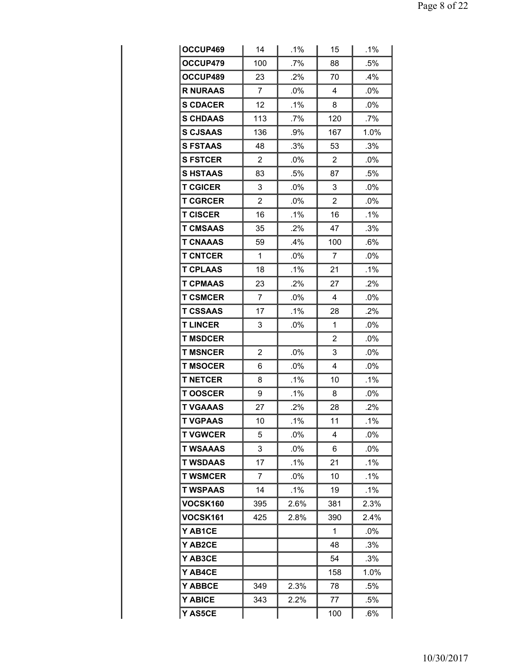| OCCUP469        | 14             | .1%    | 15             | .1%    |
|-----------------|----------------|--------|----------------|--------|
| OCCUP479        | 100            | .7%    | 88             | .5%    |
| OCCUP489        | 23             | .2%    | 70             | .4%    |
| <b>R NURAAS</b> | $\overline{7}$ | .0%    | 4              | .0%    |
| <b>S CDACER</b> | 12             | $.1\%$ | 8              | $.0\%$ |
| <b>S CHDAAS</b> | 113            | .7%    | 120            | .7%    |
| <b>S CJSAAS</b> | 136            | .9%    | 167            | 1.0%   |
| <b>S FSTAAS</b> | 48             | .3%    | 53             | .3%    |
| <b>S FSTCER</b> | $\overline{2}$ | .0%    | 2              | .0%    |
| <b>SHSTAAS</b>  | 83             | .5%    | 87             | .5%    |
| <b>T CGICER</b> | 3              | .0%    | 3              | .0%    |
| <b>T CGRCER</b> | $\overline{2}$ | .0%    | 2              | .0%    |
| <b>T CISCER</b> | 16             | $.1\%$ | 16             | $.1\%$ |
| <b>T CMSAAS</b> | 35             | .2%    | 47             | .3%    |
| <b>T CNAAAS</b> | 59             | $.4\%$ | 100            | $.6\%$ |
| <b>T CNTCER</b> | 1              | .0%    | 7              | .0%    |
| <b>T CPLAAS</b> | 18             | .1%    | 21             | .1%    |
| <b>T CPMAAS</b> | 23             | $.2\%$ | 27             | .2%    |
| <b>T CSMCER</b> | 7              | .0%    | 4              | .0%    |
| <b>T CSSAAS</b> | 17             | $.1\%$ | 28             | .2%    |
| <b>T LINCER</b> | 3              | $.0\%$ | 1              | .0%    |
| <b>T MSDCER</b> |                |        | $\overline{2}$ | .0%    |
| <b>T MSNCER</b> | $\overline{2}$ | .0%    | 3              | .0%    |
| <b>T MSOCER</b> | 6              | .0%    | 4              | .0%    |
| <b>T NETCER</b> | 8              | .1%    | 10             | .1%    |
| <b>TOOSCER</b>  | 9              | .1%    | 8              | .0%    |
| <b>T VGAAAS</b> | 27             | .2%    | 28             | .2%    |
| <b>T VGPAAS</b> | 10             | .1%    | 11             | .1%    |
| <b>T VGWCER</b> | 5              | $.0\%$ | 4              | $.0\%$ |
| T WSAAAS        | 3              | .0%    | 6              | $.0\%$ |
| <b>T WSDAAS</b> | 17             | .1%    | 21             | $.1\%$ |
| <b>T WSMCER</b> | 7              | $.0\%$ | 10             | .1%    |
| <b>T WSPAAS</b> | 14             | $.1\%$ | 19             | .1%    |
| VOCSK160        | 395            | 2.6%   | 381            | 2.3%   |
| <b>VOCSK161</b> | 425            | 2.8%   | 390            | 2.4%   |
| Y AB1CE         |                |        | 1              | $.0\%$ |
| Y AB2CE         |                |        | 48             | .3%    |
| <b>Y AB3CE</b>  |                |        | 54             | .3%    |
| Y AB4CE         |                |        | 158            | 1.0%   |
| <b>Y ABBCE</b>  | 349            | 2.3%   | 78             | .5%    |
| <b>Y ABICE</b>  | 343            | 2.2%   | 77             | .5%    |
| Y AS5CE         |                |        | 100            | .6%    |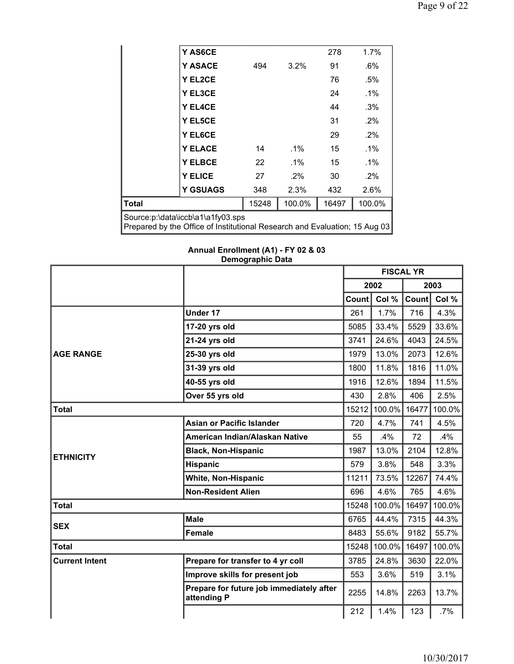|                                                                                                                 | Y AS6CE         |       |        | 278   | $1.7\%$ |  |  |
|-----------------------------------------------------------------------------------------------------------------|-----------------|-------|--------|-------|---------|--|--|
|                                                                                                                 | <b>Y ASACE</b>  | 494   | 3.2%   | 91    | $.6\%$  |  |  |
|                                                                                                                 | Y EL2CE         |       |        | 76    | .5%     |  |  |
|                                                                                                                 | Y EL3CE         |       |        | 24    | $.1\%$  |  |  |
|                                                                                                                 | Y EL4CE         |       |        | 44    | .3%     |  |  |
|                                                                                                                 | <b>Y EL5CE</b>  |       |        | 31    | $.2\%$  |  |  |
|                                                                                                                 | Y EL6CE         |       |        | 29    | $.2\%$  |  |  |
|                                                                                                                 | <b>Y ELACE</b>  | 14    | .1%    | 15    | $.1\%$  |  |  |
|                                                                                                                 | <b>Y ELBCE</b>  | 22    | $.1\%$ | 15    | $.1\%$  |  |  |
|                                                                                                                 | <b>Y ELICE</b>  | 27    | $.2\%$ | 30    | $.2\%$  |  |  |
|                                                                                                                 | <b>Y GSUAGS</b> | 348   | 2.3%   | 432   | 2.6%    |  |  |
| <b>Total</b>                                                                                                    |                 | 15248 | 100.0% | 16497 | 100.0%  |  |  |
| Source:p:\data\iccb\a1\a1fy03.sps<br>Prepared by the Office of Institutional Research and Evaluation; 15 Aug 03 |                 |       |        |       |         |  |  |

**Annual Enrollment (A1) - FY 02 & 03 Demographic Data**

|                       |                                                         | <b>FISCAL YR</b> |        |       |        |
|-----------------------|---------------------------------------------------------|------------------|--------|-------|--------|
|                       |                                                         |                  | 2002   |       | 2003   |
|                       |                                                         | Count            | Col %  | Count | Col %  |
|                       | Under 17                                                | 261              | 1.7%   | 716   | 4.3%   |
|                       | 17-20 yrs old                                           | 5085             | 33.4%  | 5529  | 33.6%  |
|                       | 21-24 yrs old                                           | 3741             | 24.6%  | 4043  | 24.5%  |
| <b>AGE RANGE</b>      | 25-30 yrs old                                           | 1979             | 13.0%  | 2073  | 12.6%  |
|                       | 31-39 yrs old                                           | 1800             | 11.8%  | 1816  | 11.0%  |
|                       | 40-55 yrs old                                           | 1916             | 12.6%  | 1894  | 11.5%  |
|                       | Over 55 yrs old                                         | 430              | 2.8%   | 406   | 2.5%   |
| <b>Total</b>          |                                                         | 15212            | 100.0% | 16477 | 100.0% |
|                       | <b>Asian or Pacific Islander</b>                        | 720              | 4.7%   | 741   | 4.5%   |
|                       | American Indian/Alaskan Native                          | 55               | .4%    | 72    | .4%    |
| <b>ETHNICITY</b>      | <b>Black, Non-Hispanic</b>                              | 1987             | 13.0%  | 2104  | 12.8%  |
|                       | <b>Hispanic</b>                                         | 579              | 3.8%   | 548   | 3.3%   |
|                       | <b>White, Non-Hispanic</b>                              | 11211            | 73.5%  | 12267 | 74.4%  |
|                       | <b>Non-Resident Alien</b>                               | 696              | 4.6%   | 765   | 4.6%   |
| <b>Total</b>          |                                                         | 15248            | 100.0% | 16497 | 100.0% |
| <b>SEX</b>            | <b>Male</b>                                             | 6765             | 44.4%  | 7315  | 44.3%  |
|                       | Female                                                  | 8483             | 55.6%  | 9182  | 55.7%  |
| <b>Total</b>          |                                                         | 15248            | 100.0% | 16497 | 100.0% |
| <b>Current Intent</b> | Prepare for transfer to 4 yr coll                       | 3785             | 24.8%  | 3630  | 22.0%  |
|                       | Improve skills for present job                          | 553              | 3.6%   | 519   | 3.1%   |
|                       | Prepare for future job immediately after<br>attending P | 2255             | 14.8%  | 2263  | 13.7%  |
|                       |                                                         | 212              | 1.4%   | 123   | .7%    |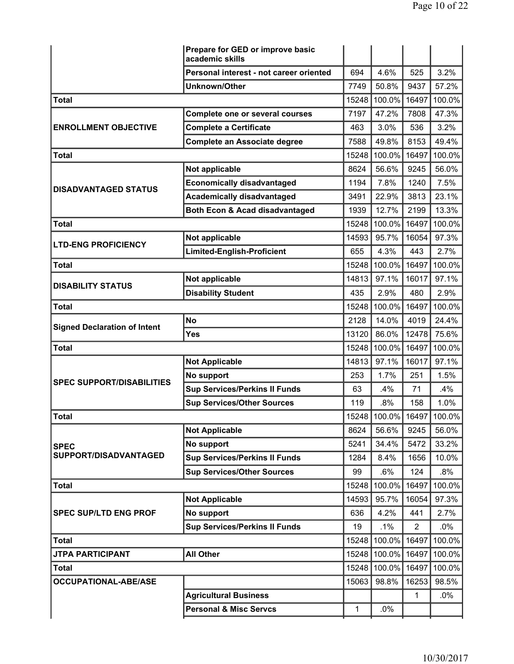|                                     | Prepare for GED or improve basic<br>academic skills |              |              |                |        |
|-------------------------------------|-----------------------------------------------------|--------------|--------------|----------------|--------|
|                                     | Personal interest - not career oriented             | 694          | 4.6%         | 525            | 3.2%   |
|                                     | <b>Unknown/Other</b>                                | 7749         | 50.8%        | 9437           | 57.2%  |
| <b>Total</b>                        |                                                     | 15248        | 100.0%       | 16497          | 100.0% |
|                                     | Complete one or several courses                     | 7197         | 47.2%        | 7808           | 47.3%  |
| <b>ENROLLMENT OBJECTIVE</b>         | <b>Complete a Certificate</b>                       | 463          | 3.0%         | 536            | 3.2%   |
|                                     | <b>Complete an Associate degree</b>                 | 7588         | 49.8%        | 8153           | 49.4%  |
| <b>Total</b>                        |                                                     | 15248        | 100.0%       | 16497          | 100.0% |
|                                     | Not applicable                                      | 8624         | 56.6%        | 9245           | 56.0%  |
| <b>DISADVANTAGED STATUS</b>         | <b>Economically disadvantaged</b>                   | 1194         | 7.8%         | 1240           | 7.5%   |
|                                     | <b>Academically disadvantaged</b>                   | 3491         | 22.9%        | 3813           | 23.1%  |
|                                     | Both Econ & Acad disadvantaged                      | 1939         | 12.7%        | 2199           | 13.3%  |
| <b>Total</b>                        |                                                     | 15248        | 100.0%       | 16497          | 100.0% |
| <b>LTD-ENG PROFICIENCY</b>          | Not applicable                                      | 14593        | 95.7%        | 16054          | 97.3%  |
|                                     | Limited-English-Proficient                          | 655          | 4.3%         | 443            | 2.7%   |
| <b>Total</b>                        |                                                     | 15248        | 100.0%       | 16497          | 100.0% |
| <b>DISABILITY STATUS</b>            | Not applicable                                      | 14813        | 97.1%        | 16017          | 97.1%  |
|                                     | <b>Disability Student</b>                           | 435          | 2.9%         | 480            | 2.9%   |
| <b>Total</b>                        |                                                     | 15248        | 100.0%       | 16497          | 100.0% |
| <b>Signed Declaration of Intent</b> | <b>No</b>                                           | 2128         | 14.0%        | 4019           | 24.4%  |
|                                     | Yes                                                 | 13120        | 86.0%        | 12478          | 75.6%  |
| <b>Total</b>                        |                                                     | 15248        | 100.0%       | 16497          | 100.0% |
|                                     | <b>Not Applicable</b>                               | 14813        | 97.1%        | 16017          | 97.1%  |
| <b>SPEC SUPPORT/DISABILITIES</b>    | No support                                          | 253          | 1.7%         | 251            | 1.5%   |
|                                     | <b>Sup Services/Perkins II Funds</b>                | 63           | .4%          | 71             | .4%    |
|                                     | <b>Sup Services/Other Sources</b>                   | 119          | .8%          | 158            | 1.0%   |
| <b>Total</b>                        |                                                     | 15248        | 100.0% 16497 |                | 100.0% |
|                                     | <b>Not Applicable</b>                               | 8624         | 56.6%        | 9245           | 56.0%  |
| <b>SPEC</b>                         | No support                                          | 5241         | 34.4%        | 5472           | 33.2%  |
| SUPPORT/DISADVANTAGED               | <b>Sup Services/Perkins II Funds</b>                | 1284         | 8.4%         | 1656           | 10.0%  |
|                                     | <b>Sup Services/Other Sources</b>                   | 99           | .6%          | 124            | $.8\%$ |
| <b>Total</b>                        |                                                     | 15248        | 100.0%       | 16497          | 100.0% |
|                                     | <b>Not Applicable</b>                               | 14593        | 95.7%        | 16054          | 97.3%  |
| <b>SPEC SUP/LTD ENG PROF</b>        | No support                                          | 636          | 4.2%         | 441            | 2.7%   |
|                                     | <b>Sup Services/Perkins II Funds</b>                | 19           | .1%          | $\overline{2}$ | $.0\%$ |
| <b>Total</b>                        |                                                     | 15248        | 100.0%       | 16497          | 100.0% |
| <b>JTPA PARTICIPANT</b>             | <b>All Other</b>                                    | 15248        | 100.0%       | 16497          | 100.0% |
| <b>Total</b>                        |                                                     | 15248        | 100.0%       | 16497          | 100.0% |
| <b>OCCUPATIONAL-ABE/ASE</b>         |                                                     | 15063        | 98.8%        | 16253          | 98.5%  |
|                                     | <b>Agricultural Business</b>                        |              |              | $\mathbf{1}$   | $.0\%$ |
|                                     | <b>Personal &amp; Misc Servcs</b>                   | $\mathbf{1}$ | .0%          |                |        |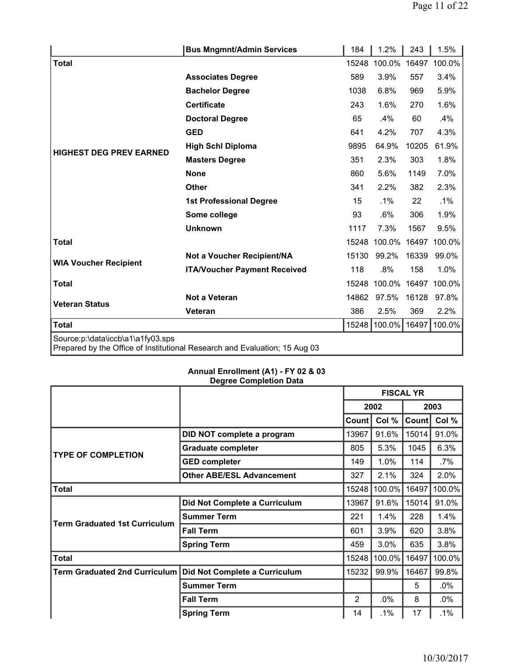|                                   | <b>Bus Mngmnt/Admin Services</b>                                           | 184   | 1.2%   | 243   | 1.5%   |
|-----------------------------------|----------------------------------------------------------------------------|-------|--------|-------|--------|
| Total                             |                                                                            | 15248 | 100.0% | 16497 | 100.0% |
|                                   | <b>Associates Degree</b>                                                   | 589   | 3.9%   | 557   | 3.4%   |
|                                   | <b>Bachelor Degree</b>                                                     | 1038  | 6.8%   | 969   | 5.9%   |
|                                   | <b>Certificate</b>                                                         | 243   | 1.6%   | 270   | 1.6%   |
|                                   | <b>Doctoral Degree</b>                                                     | 65    | .4%    | 60    | .4%    |
|                                   | <b>GED</b>                                                                 | 641   | 4.2%   | 707   | 4.3%   |
|                                   | <b>High Schl Diploma</b>                                                   | 9895  | 64.9%  | 10205 | 61.9%  |
| <b>HIGHEST DEG PREV EARNED</b>    | <b>Masters Degree</b>                                                      | 351   | 2.3%   | 303   | 1.8%   |
|                                   | <b>None</b>                                                                | 860   | 5.6%   | 1149  | 7.0%   |
|                                   | <b>Other</b>                                                               | 341   | 2.2%   | 382   | 2.3%   |
|                                   | <b>1st Professional Degree</b>                                             | 15    | .1%    | 22    | $.1\%$ |
|                                   | Some college                                                               | 93    | $.6\%$ | 306   | 1.9%   |
|                                   | <b>Unknown</b>                                                             | 1117  | 7.3%   | 1567  | 9.5%   |
| <b>Total</b>                      |                                                                            | 15248 | 100.0% | 16497 | 100.0% |
|                                   | Not a Voucher Recipient/NA                                                 | 15130 | 99.2%  | 16339 | 99.0%  |
| <b>WIA Voucher Recipient</b>      | <b>ITA/Voucher Payment Received</b>                                        | 118   | .8%    | 158   | 1.0%   |
| <b>Total</b>                      |                                                                            | 15248 | 100.0% | 16497 | 100.0% |
|                                   | Not a Veteran                                                              | 14862 | 97.5%  | 16128 | 97.8%  |
| <b>Veteran Status</b>             | Veteran                                                                    | 386   | 2.5%   | 369   | 2.2%   |
| <b>Total</b>                      |                                                                            | 15248 | 100.0% | 16497 | 100.0% |
| Source:p:\data\iccb\a1\a1fy03.sps | Prepared by the Office of Institutional Research and Evaluation; 15 Aug 03 |       |        |       |        |

## **Annual Enrollment (A1) - FY 02 & 03 Degree Completion Data**

|                                      |                                  | <b>FISCAL YR</b> |              |       |        |
|--------------------------------------|----------------------------------|------------------|--------------|-------|--------|
|                                      |                                  |                  | 2002<br>2003 |       |        |
|                                      |                                  | Count            | Col %        | Count | Col %  |
|                                      | DID NOT complete a program       | 13967            | 91.6%        | 15014 | 91.0%  |
| <b>TYPE OF COMPLETION</b>            | <b>Graduate completer</b>        | 805              | 5.3%         | 1045  | 6.3%   |
|                                      | <b>GED completer</b>             | 149              | 1.0%         | 114   | .7%    |
|                                      | <b>Other ABE/ESL Advancement</b> | 327              | 2.1%         | 324   | 2.0%   |
| <b>Total</b>                         |                                  | 15248            | 100.0%       | 16497 | 100.0% |
|                                      | Did Not Complete a Curriculum    | 13967            | 91.6%        | 15014 | 91.0%  |
| Term Graduated 1st Curriculum        | <b>Summer Term</b>               | 221              | 1.4%         | 228   | 1.4%   |
|                                      | <b>Fall Term</b>                 | 601              | 3.9%         | 620   | 3.8%   |
|                                      | <b>Spring Term</b>               | 459              | 3.0%         | 635   | 3.8%   |
| Total                                |                                  | 15248            | 100.0%       | 16497 | 100.0% |
| <b>Term Graduated 2nd Curriculum</b> | Did Not Complete a Curriculum    | 15232            | 99.9%        | 16467 | 99.8%  |
|                                      | <b>Summer Term</b>               |                  |              | 5     | $.0\%$ |
|                                      | <b>Fall Term</b>                 | 2                | .0%          | 8     | $.0\%$ |
|                                      | <b>Spring Term</b>               | 14               | .1%          | 17    | $.1\%$ |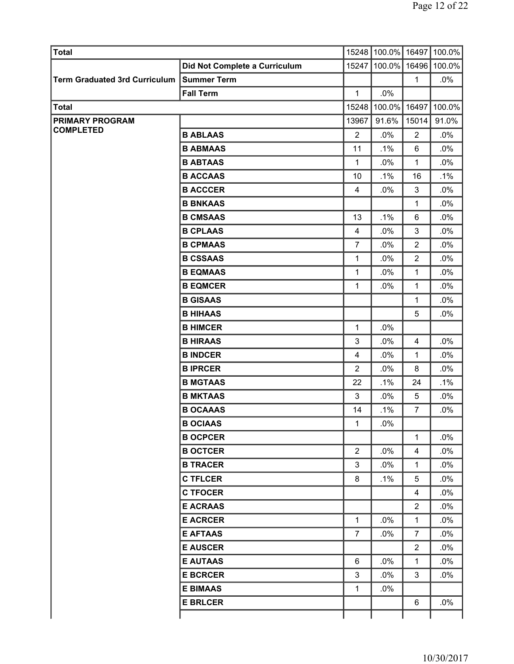| Total                         |                               |                | 15248 100.0% 16497 100.0% |                         |        |
|-------------------------------|-------------------------------|----------------|---------------------------|-------------------------|--------|
|                               | Did Not Complete a Curriculum |                | 15247 100.0%              | 16496                   | 100.0% |
| Term Graduated 3rd Curriculum | <b>Summer Term</b>            |                |                           | $\mathbf{1}$            | .0%    |
|                               | <b>Fall Term</b>              | 1              | .0%                       |                         |        |
| <b>Total</b>                  |                               | 15248          | 100.0%                    | 16497                   | 100.0% |
| <b>PRIMARY PROGRAM</b>        |                               | 13967          | 91.6%                     | 15014                   | 91.0%  |
| <b>COMPLETED</b>              | <b>B ABLAAS</b>               | 2              | .0%                       | $\overline{2}$          | .0%    |
|                               | <b>B ABMAAS</b>               | 11             | .1%                       | 6                       | .0%    |
|                               | <b>B ABTAAS</b>               | 1              | .0%                       | 1                       | .0%    |
|                               | <b>B ACCAAS</b>               | 10             | .1%                       | 16                      | .1%    |
|                               | <b>B ACCCER</b>               | 4              | .0%                       | 3                       | .0%    |
|                               | <b>B BNKAAS</b>               |                |                           | 1                       | .0%    |
|                               | <b>B CMSAAS</b>               | 13             | .1%                       | 6                       | .0%    |
|                               | <b>B CPLAAS</b>               | $\overline{4}$ | .0%                       | $\mathbf{3}$            | .0%    |
|                               | <b>B CPMAAS</b>               | $\overline{7}$ | .0%                       | $\overline{2}$          | .0%    |
|                               | <b>B CSSAAS</b>               | 1              | .0%                       | $\overline{2}$          | .0%    |
|                               | <b>B EQMAAS</b>               | $\mathbf{1}$   | .0%                       | 1                       | .0%    |
|                               | <b>B EQMCER</b>               | 1              | .0%                       | $\mathbf{1}$            | .0%    |
|                               | <b>B GISAAS</b>               |                |                           | 1                       | .0%    |
|                               | <b>B HIHAAS</b>               |                |                           | 5                       | .0%    |
|                               | <b>B HIMCER</b>               | 1              | .0%                       |                         |        |
|                               | <b>B HIRAAS</b>               | 3              | .0%                       | 4                       | .0%    |
|                               | <b>B INDCER</b>               | 4              | .0%                       | 1                       | .0%    |
|                               | <b>BIPRCER</b>                | $\overline{2}$ | .0%                       | 8                       | .0%    |
|                               | <b>B MGTAAS</b>               | 22             | .1%                       | 24                      | $.1\%$ |
|                               | <b>B MKTAAS</b>               | 3              | .0%                       | 5                       | .0%    |
|                               | <b>B OCAAAS</b>               | 14             | .1%                       | 7                       | .0%    |
|                               | <b>B OCIAAS</b>               | 1              | .0%                       |                         |        |
|                               | <b>B OCPCER</b>               |                |                           | $\mathbf{1}$            | .0%    |
|                               | <b>B OCTCER</b>               | $\overline{2}$ | .0%                       | $\overline{\mathbf{4}}$ | $.0\%$ |
|                               | <b>B TRACER</b>               | 3              | $.0\%$                    | 1                       | $.0\%$ |
|                               | <b>C TFLCER</b>               | 8              | $.1\%$                    | 5                       | $.0\%$ |
|                               | <b>C TFOCER</b>               |                |                           | 4                       | $.0\%$ |
|                               | <b>E ACRAAS</b>               |                |                           | $\overline{2}$          | $.0\%$ |
|                               | <b>E ACRCER</b>               | 1              | .0%                       | 1                       | $.0\%$ |
|                               | <b>E AFTAAS</b>               | $\overline{7}$ | $.0\%$                    | $\overline{7}$          | $.0\%$ |
|                               | <b>E AUSCER</b>               |                |                           | $\overline{2}$          | .0%    |
|                               | <b>E AUTAAS</b>               | 6              | $.0\%$                    | 1                       | $.0\%$ |
|                               | <b>E BCRCER</b>               | 3              | $.0\%$                    | 3                       | .0%    |
|                               | <b>E BIMAAS</b>               | 1              | $.0\%$                    |                         |        |
|                               | <b>E BRLCER</b>               |                |                           | 6                       | $.0\%$ |
|                               |                               |                |                           |                         |        |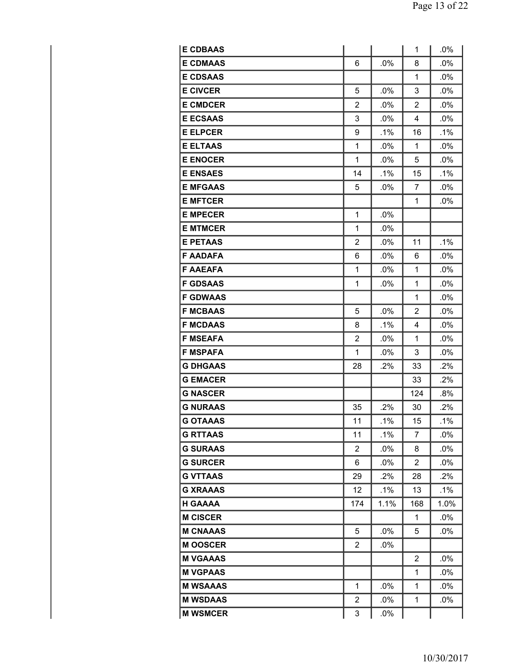| <b>E CDBAAS</b> |                |        | 1            | .0%    |
|-----------------|----------------|--------|--------------|--------|
| <b>E CDMAAS</b> | 6              | .0%    | 8            | .0%    |
| <b>E CDSAAS</b> |                |        | $\mathbf{1}$ | .0%    |
| <b>E CIVCER</b> | 5              | .0%    | 3            | .0%    |
| <b>E CMDCER</b> | 2              | .0%    | 2            | .0%    |
| <b>E ECSAAS</b> | 3              | .0%    | 4            | .0%    |
| <b>E ELPCER</b> | 9              | .1%    | 16           | .1%    |
| <b>E ELTAAS</b> | 1              | .0%    | 1            | .0%    |
| <b>E ENOCER</b> | 1              | .0%    | 5            | .0%    |
| <b>E ENSAES</b> | 14             | $.1\%$ | 15           | .1%    |
| <b>E MFGAAS</b> | 5              | .0%    | 7            | .0%    |
| <b>E MFTCER</b> |                |        | 1            | .0%    |
| <b>E MPECER</b> | 1              | .0%    |              |        |
| <b>E MTMCER</b> | 1              | .0%    |              |        |
| <b>E PETAAS</b> | 2              | .0%    | 11           | .1%    |
| <b>F AADAFA</b> | 6              | .0%    | 6            | .0%    |
| <b>F AAEAFA</b> | 1              | .0%    | $\mathbf{1}$ | .0%    |
| <b>F GDSAAS</b> | $\mathbf{1}$   | .0%    | 1            | .0%    |
| <b>F GDWAAS</b> |                |        | 1            | .0%    |
| <b>F MCBAAS</b> | 5              | .0%    | 2            | .0%    |
| <b>F MCDAAS</b> | 8              | $.1\%$ | 4            | $.0\%$ |
| <b>F MSEAFA</b> | $\overline{2}$ | .0%    | 1            | .0%    |
| <b>F MSPAFA</b> | 1              | $.0\%$ | 3            | .0%    |
| <b>G DHGAAS</b> | 28             | .2%    | 33           | .2%    |
| <b>G EMACER</b> |                |        | 33           | .2%    |
| <b>G NASCER</b> |                |        | 124          | .8%    |
| <b>G NURAAS</b> | 35             | .2%    | 30           | .2%    |
| <b>G OTAAAS</b> | 11             | .1%    | 15           | .1%    |
| <b>G RTTAAS</b> | 11             | $.1\%$ | 7            | .0%    |
| <b>G SURAAS</b> | $\mathbf{2}$   | $.0\%$ | 8            | .0%    |
| <b>G SURCER</b> | 6              | $.0\%$ | 2            | $.0\%$ |
| <b>G VTTAAS</b> | 29             | $.2\%$ | 28           | .2%    |
| <b>G XRAAAS</b> | 12             | .1%    | 13           | $.1\%$ |
| <b>H GAAAA</b>  | 174            | 1.1%   | 168          | 1.0%   |
| <b>M CISCER</b> |                |        | 1            | $.0\%$ |
| <b>M CNAAAS</b> | 5              | .0%    | 5            | $.0\%$ |
| <b>MOOSCER</b>  | $\overline{2}$ | .0%    |              |        |
| <b>M VGAAAS</b> |                |        | 2            | .0%    |
| <b>M VGPAAS</b> |                |        | 1            | $.0\%$ |
| <b>M WSAAAS</b> | 1              | .0%    | 1            | $.0\%$ |
| <b>M WSDAAS</b> | $\overline{2}$ | .0%    | 1            | .0%    |
| <b>M WSMCER</b> | 3              | .0%    |              |        |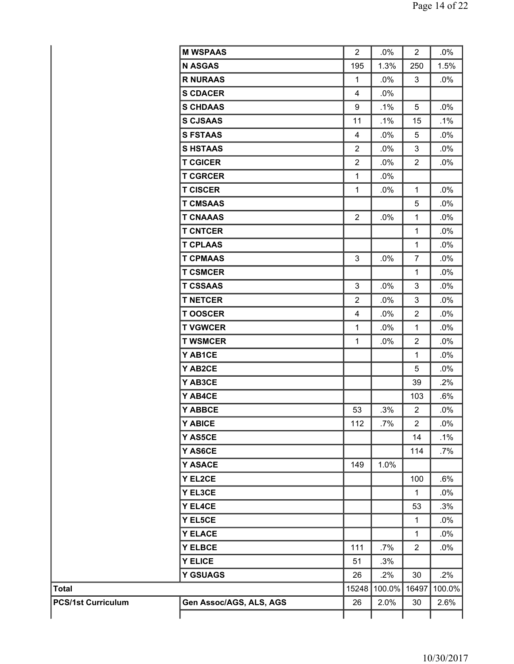|                           | <b>M WSPAAS</b>         | $\overline{2}$ | .0%    | $\overline{2}$ | $.0\%$ |
|---------------------------|-------------------------|----------------|--------|----------------|--------|
|                           | <b>N ASGAS</b>          | 195            | 1.3%   | 250            | 1.5%   |
|                           | <b>R NURAAS</b>         | $\mathbf{1}$   | .0%    | $\mathfrak{S}$ | $.0\%$ |
|                           | <b>S CDACER</b>         | 4              | $.0\%$ |                |        |
|                           | <b>S CHDAAS</b>         | 9              | .1%    | 5              | .0%    |
|                           | <b>S CJSAAS</b>         | 11             | .1%    | 15             | $.1\%$ |
|                           | <b>S FSTAAS</b>         | $\overline{4}$ | .0%    | 5              | $.0\%$ |
|                           | <b>SHSTAAS</b>          | $\overline{2}$ | .0%    | 3              | $.0\%$ |
|                           | <b>T CGICER</b>         | $\overline{2}$ | .0%    | $\overline{2}$ | $.0\%$ |
|                           | <b>T CGRCER</b>         | $\mathbf{1}$   | $.0\%$ |                |        |
|                           | <b>T CISCER</b>         | $\mathbf{1}$   | .0%    | $\mathbf{1}$   | $.0\%$ |
|                           | <b>T CMSAAS</b>         |                |        | 5              | $.0\%$ |
|                           | <b>T CNAAAS</b>         | $\overline{2}$ | $.0\%$ | $\mathbf{1}$   | $.0\%$ |
|                           | <b>T CNTCER</b>         |                |        | $\mathbf{1}$   | $.0\%$ |
|                           | <b>T CPLAAS</b>         |                |        | $\mathbf{1}$   | $.0\%$ |
|                           | <b>T CPMAAS</b>         | 3              | .0%    | $\overline{7}$ | $.0\%$ |
|                           | <b>T CSMCER</b>         |                |        | $\mathbf 1$    | $.0\%$ |
|                           | <b>T CSSAAS</b>         | 3              | .0%    | 3              | $.0\%$ |
|                           | <b>T NETCER</b>         | $\overline{2}$ | .0%    | 3              | $.0\%$ |
|                           | <b>TOOSCER</b>          | 4              | .0%    | $\overline{2}$ | $.0\%$ |
|                           | <b>T VGWCER</b>         | $\mathbf{1}$   | $.0\%$ | $\mathbf{1}$   | $.0\%$ |
|                           | <b>T WSMCER</b>         | $\mathbf{1}$   | .0%    | $\overline{2}$ | $.0\%$ |
|                           | Y AB1CE                 |                |        | $\mathbf{1}$   | $.0\%$ |
|                           | Y AB2CE                 |                |        | 5              | $.0\%$ |
|                           | Y AB3CE                 |                |        | 39             | .2%    |
|                           | Y AB4CE                 |                |        | 103            | $.6\%$ |
|                           | Y ABBCE                 | 53             | .3%    | $\overline{2}$ | $.0\%$ |
|                           | Y ABICE                 | 112            | .7%    | $\overline{2}$ | .0%    |
|                           | Y AS5CE                 |                |        | 14             | $.1\%$ |
|                           | Y AS6CE                 |                |        | 114            | .7%    |
|                           | Y ASACE                 | 149            | 1.0%   |                |        |
|                           | Y EL2CE                 |                |        | 100            | $.6\%$ |
|                           | Y EL3CE                 |                |        | $\mathbf{1}$   | $.0\%$ |
|                           | Y EL4CE                 |                |        | 53             | .3%    |
|                           | Y EL5CE                 |                |        | $\mathbf{1}$   | $.0\%$ |
|                           | <b>Y ELACE</b>          |                |        | $\mathbf{1}$   | $.0\%$ |
|                           | <b>Y ELBCE</b>          | 111            | .7%    | $\overline{2}$ | $.0\%$ |
|                           | <b>Y ELICE</b>          | 51             | .3%    |                |        |
|                           | <b>Y GSUAGS</b>         | 26             | .2%    | 30             | .2%    |
| <b>Total</b>              |                         | 15248          | 100.0% | 16497          | 100.0% |
| <b>PCS/1st Curriculum</b> | Gen Assoc/AGS, ALS, AGS | 26             | 2.0%   | 30             | 2.6%   |
|                           |                         |                |        |                |        |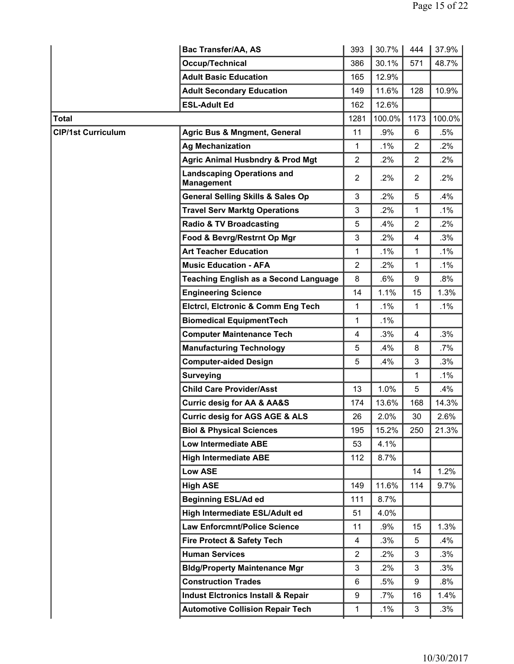|                           | Bac Transfer/AA, AS                                    | 393            | 30.7%  | 444            | 37.9%  |
|---------------------------|--------------------------------------------------------|----------------|--------|----------------|--------|
|                           | Occup/Technical                                        | 386            | 30.1%  | 571            | 48.7%  |
|                           | <b>Adult Basic Education</b>                           | 165            | 12.9%  |                |        |
|                           | <b>Adult Secondary Education</b>                       | 149            | 11.6%  | 128            | 10.9%  |
|                           | <b>ESL-Adult Ed</b>                                    | 162            | 12.6%  |                |        |
| <b>Total</b>              |                                                        | 1281           | 100.0% | 1173           | 100.0% |
| <b>CIP/1st Curriculum</b> | <b>Agric Bus &amp; Mngment, General</b>                | 11             | .9%    | 6              | .5%    |
|                           | <b>Ag Mechanization</b>                                | $\mathbf{1}$   | .1%    | $\overline{2}$ | .2%    |
|                           | <b>Agric Animal Husbndry &amp; Prod Mgt</b>            | $\overline{2}$ | .2%    | $\overline{2}$ | .2%    |
|                           | <b>Landscaping Operations and</b><br><b>Management</b> | $\overline{2}$ | $.2\%$ | $\overline{2}$ | .2%    |
|                           | <b>General Selling Skills &amp; Sales Op</b>           | 3              | .2%    | 5              | .4%    |
|                           | <b>Travel Serv Marktg Operations</b>                   | 3              | .2%    | 1              | $.1\%$ |
|                           | <b>Radio &amp; TV Broadcasting</b>                     | 5              | .4%    | $\overline{2}$ | .2%    |
|                           | Food & Bevrg/Restrnt Op Mgr                            | 3              | .2%    | 4              | .3%    |
|                           | <b>Art Teacher Education</b>                           | $\mathbf{1}$   | $.1\%$ | 1              | .1%    |
|                           | <b>Music Education - AFA</b>                           | $\overline{2}$ | $.2\%$ | $\mathbf{1}$   | .1%    |
|                           | <b>Teaching English as a Second Language</b>           | 8              | .6%    | 9              | .8%    |
|                           | <b>Engineering Science</b>                             | 14             | 1.1%   | 15             | 1.3%   |
|                           | <b>Elctrcl, Elctronic &amp; Comm Eng Tech</b>          | $\mathbf{1}$   | .1%    | 1              | .1%    |
|                           | <b>Biomedical EquipmentTech</b>                        | $\mathbf{1}$   | .1%    |                |        |
|                           | <b>Computer Maintenance Tech</b>                       | 4              | .3%    | 4              | .3%    |
|                           | <b>Manufacturing Technology</b>                        | 5              | .4%    | 8              | .7%    |
|                           | <b>Computer-aided Design</b>                           | 5              | .4%    | 3              | .3%    |
|                           | <b>Surveying</b>                                       |                |        | 1              | .1%    |
|                           | <b>Child Care Provider/Asst</b>                        | 13             | 1.0%   | 5              | .4%    |
|                           | <b>Curric desig for AA &amp; AA&amp;S</b>              | 174            | 13.6%  | 168            | 14.3%  |
|                           | <b>Curric desig for AGS AGE &amp; ALS</b>              | 26             | 2.0%   | 30             | 2.6%   |
|                           | <b>Biol &amp; Physical Sciences</b>                    | 195            | 15.2%  | 250            | 21.3%  |
|                           | Low Intermediate ABE                                   | 53             | 4.1%   |                |        |
|                           | <b>High Intermediate ABE</b>                           | 112            | 8.7%   |                |        |
|                           | <b>Low ASE</b>                                         |                |        | 14             | 1.2%   |
|                           | <b>High ASE</b>                                        | 149            | 11.6%  | 114            | 9.7%   |
|                           | <b>Beginning ESL/Ad ed</b>                             | 111            | 8.7%   |                |        |
|                           | High Intermediate ESL/Adult ed                         | 51             | 4.0%   |                |        |
|                           | <b>Law Enforcmnt/Police Science</b>                    | 11             | .9%    | 15             | 1.3%   |
|                           | <b>Fire Protect &amp; Safety Tech</b>                  | 4              | .3%    | 5              | .4%    |
|                           | <b>Human Services</b>                                  | $\overline{2}$ | .2%    | 3              | .3%    |
|                           | <b>Bldg/Property Maintenance Mgr</b>                   | 3              | .2%    | 3              | .3%    |
|                           | <b>Construction Trades</b>                             | 6              | .5%    | 9              | .8%    |
|                           | <b>Indust Elctronics Install &amp; Repair</b>          | 9              | .7%    | 16             | 1.4%   |
|                           | <b>Automotive Collision Repair Tech</b>                | $\mathbf{1}$   | .1%    | 3              | .3%    |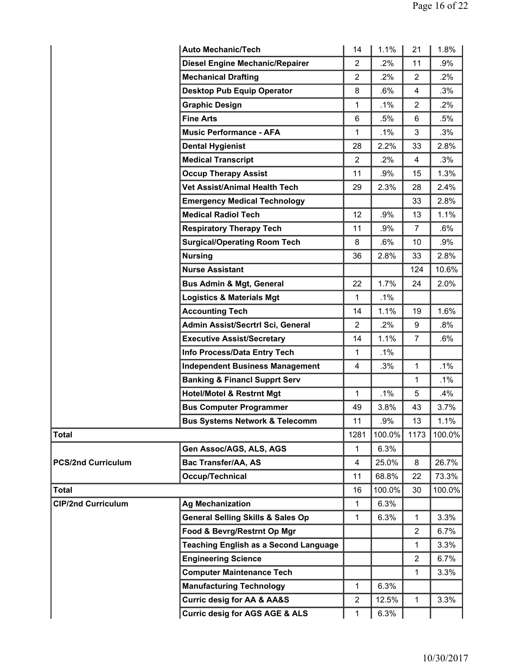|                           | <b>Auto Mechanic/Tech</b>                    | 14             | 1.1%   | 21             | 1.8%   |
|---------------------------|----------------------------------------------|----------------|--------|----------------|--------|
|                           | <b>Diesel Engine Mechanic/Repairer</b>       | $\overline{2}$ | .2%    | 11             | .9%    |
|                           | <b>Mechanical Drafting</b>                   | $\overline{2}$ | $.2\%$ | $\overline{2}$ | .2%    |
|                           | <b>Desktop Pub Equip Operator</b>            | 8              | .6%    | 4              | .3%    |
|                           | <b>Graphic Design</b>                        | 1              | $.1\%$ | 2              | $.2\%$ |
|                           | <b>Fine Arts</b>                             | 6              | .5%    | 6              | $.5\%$ |
|                           | <b>Music Performance - AFA</b>               | 1              | $.1\%$ | 3              | .3%    |
|                           | <b>Dental Hygienist</b>                      | 28             | 2.2%   | 33             | 2.8%   |
|                           | <b>Medical Transcript</b>                    | $\overline{2}$ | $.2\%$ | 4              | .3%    |
|                           | <b>Occup Therapy Assist</b>                  | 11             | .9%    | 15             | 1.3%   |
|                           | Vet Assist/Animal Health Tech                | 29             | 2.3%   | 28             | 2.4%   |
|                           | <b>Emergency Medical Technology</b>          |                |        | 33             | 2.8%   |
|                           | <b>Medical Radiol Tech</b>                   | 12             | .9%    | 13             | 1.1%   |
|                           | <b>Respiratory Therapy Tech</b>              | 11             | .9%    | $\overline{7}$ | .6%    |
|                           | <b>Surgical/Operating Room Tech</b>          | 8              | $.6\%$ | 10             | .9%    |
|                           | <b>Nursing</b>                               | 36             | 2.8%   | 33             | 2.8%   |
|                           | <b>Nurse Assistant</b>                       |                |        | 124            | 10.6%  |
|                           | <b>Bus Admin &amp; Mgt, General</b>          | 22             | 1.7%   | 24             | 2.0%   |
|                           | <b>Logistics &amp; Materials Mgt</b>         | 1              | .1%    |                |        |
|                           | <b>Accounting Tech</b>                       | 14             | 1.1%   | 19             | 1.6%   |
|                           | Admin Assist/Secrtrl Sci, General            | $\overline{2}$ | .2%    | 9              | .8%    |
|                           | <b>Executive Assist/Secretary</b>            | 14             | 1.1%   | $\overline{7}$ | .6%    |
|                           | Info Process/Data Entry Tech                 | 1              | .1%    |                |        |
|                           | <b>Independent Business Management</b>       | 4              | .3%    | $\mathbf{1}$   | $.1\%$ |
|                           | <b>Banking &amp; Financl Supprt Serv</b>     |                |        | 1              | .1%    |
|                           | <b>Hotel/Motel &amp; Restrnt Mgt</b>         | 1              | $.1\%$ | 5              | .4%    |
|                           | <b>Bus Computer Programmer</b>               | 49             | 3.8%   | 43             | 3.7%   |
|                           | <b>Bus Systems Network &amp; Telecomm</b>    | 11             | .9%    | 13             | 1.1%   |
| <b>Total</b>              |                                              | 1281           | 100.0% | 1173           | 100.0% |
|                           | Gen Assoc/AGS, ALS, AGS                      | $\mathbf{1}$   | 6.3%   |                |        |
| <b>PCS/2nd Curriculum</b> | <b>Bac Transfer/AA, AS</b>                   | 4              | 25.0%  | 8              | 26.7%  |
|                           | Occup/Technical                              | 11             | 68.8%  | 22             | 73.3%  |
| <b>Total</b>              |                                              | 16             | 100.0% | 30             | 100.0% |
| <b>CIP/2nd Curriculum</b> | <b>Ag Mechanization</b>                      | 1              | 6.3%   |                |        |
|                           | <b>General Selling Skills &amp; Sales Op</b> | 1              | 6.3%   | 1              | 3.3%   |
|                           | Food & Bevrg/Restrnt Op Mgr                  |                |        | $\overline{2}$ | 6.7%   |
|                           | <b>Teaching English as a Second Language</b> |                |        | $\mathbf{1}$   | 3.3%   |
|                           | <b>Engineering Science</b>                   |                |        | $\overline{2}$ | 6.7%   |
|                           | <b>Computer Maintenance Tech</b>             |                |        | 1              | 3.3%   |
|                           | <b>Manufacturing Technology</b>              | 1              | 6.3%   |                |        |
|                           | <b>Curric desig for AA &amp; AA&amp;S</b>    | $\overline{2}$ | 12.5%  | $\mathbf 1$    | 3.3%   |
|                           | <b>Curric desig for AGS AGE &amp; ALS</b>    | 1              | 6.3%   |                |        |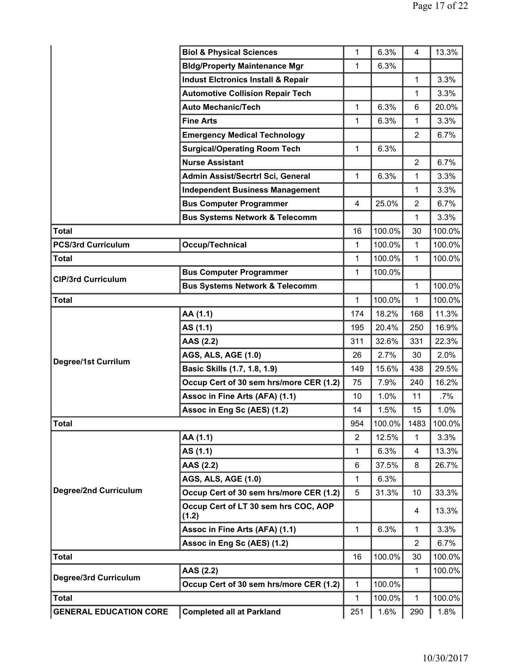|                               | <b>Biol &amp; Physical Sciences</b>           | 1              | 6.3%      | 4              | 13.3%  |
|-------------------------------|-----------------------------------------------|----------------|-----------|----------------|--------|
|                               | <b>Bldg/Property Maintenance Mgr</b>          | 1              | 6.3%      |                |        |
|                               | <b>Indust Elctronics Install &amp; Repair</b> |                |           | 1              | 3.3%   |
|                               | <b>Automotive Collision Repair Tech</b>       |                |           | 1              | 3.3%   |
|                               | <b>Auto Mechanic/Tech</b>                     | 1              | 6.3%      | 6              | 20.0%  |
|                               | <b>Fine Arts</b>                              | 1              | 6.3%      | 1              | 3.3%   |
|                               | <b>Emergency Medical Technology</b>           |                |           | $\overline{2}$ | 6.7%   |
|                               | <b>Surgical/Operating Room Tech</b>           | 1              | 6.3%      |                |        |
|                               | <b>Nurse Assistant</b>                        |                |           | $\overline{2}$ | 6.7%   |
|                               | Admin Assist/Secrtrl Sci, General             | 1              | 6.3%      | 1              | 3.3%   |
|                               | <b>Independent Business Management</b>        |                |           | 1              | 3.3%   |
|                               | <b>Bus Computer Programmer</b>                | 4              | 25.0%     | $\overline{2}$ | 6.7%   |
|                               | <b>Bus Systems Network &amp; Telecomm</b>     |                |           | 1              | 3.3%   |
| <b>Total</b>                  |                                               | 16             | 100.0%    | 30             | 100.0% |
| <b>PCS/3rd Curriculum</b>     | <b>Occup/Technical</b>                        | $\mathbf{1}$   | 100.0%    | $\mathbf{1}$   | 100.0% |
| <b>Total</b>                  |                                               | 1              | 100.0%    | 1              | 100.0% |
| <b>CIP/3rd Curriculum</b>     | <b>Bus Computer Programmer</b>                | 1              | 100.0%    |                |        |
|                               | <b>Bus Systems Network &amp; Telecomm</b>     |                |           | $\mathbf{1}$   | 100.0% |
| <b>Total</b>                  |                                               | 1              | 100.0%    | 1              | 100.0% |
|                               | AA (1.1)                                      | 174            | 18.2%     | 168            | 11.3%  |
|                               | AS (1.1)                                      | 195            | 20.4%     | 250            | 16.9%  |
|                               | AAS (2.2)                                     | 311            | 32.6%     | 331            | 22.3%  |
| Degree/1st Currilum           | <b>AGS, ALS, AGE (1.0)</b>                    | 26             | 2.7%      | 30             | 2.0%   |
|                               | Basic Skills (1.7, 1.8, 1.9)                  | 149            | 15.6%     | 438            | 29.5%  |
|                               | Occup Cert of 30 sem hrs/more CER (1.2)       | 75             | 7.9%      | 240            | 16.2%  |
|                               | Assoc in Fine Arts (AFA) (1.1)                | 10             | 1.0%      | 11             | .7%    |
|                               | Assoc in Eng Sc (AES) (1.2)                   | 14             | 1.5%      | 15             | 1.0%   |
| Total                         |                                               | 954            | $100.0\%$ | 1483           | 100.0% |
|                               | AA (1.1)                                      | $\overline{2}$ | 12.5%     | 1              | 3.3%   |
|                               | AS (1.1)                                      | 1              | 6.3%      | 4              | 13.3%  |
|                               | AAS (2.2)                                     | 6              | 37.5%     | 8              | 26.7%  |
|                               | <b>AGS, ALS, AGE (1.0)</b>                    | 1              | 6.3%      |                |        |
| <b>Degree/2nd Curriculum</b>  | Occup Cert of 30 sem hrs/more CER (1.2)       | 5              | 31.3%     | 10             | 33.3%  |
|                               | Occup Cert of LT 30 sem hrs COC, AOP<br>(1.2) |                |           | 4              | 13.3%  |
|                               | Assoc in Fine Arts (AFA) (1.1)                | 1              | 6.3%      | 1              | 3.3%   |
|                               | Assoc in Eng Sc (AES) (1.2)                   |                |           | $\overline{2}$ | 6.7%   |
| <b>Total</b>                  |                                               | 16             | 100.0%    | 30             | 100.0% |
| Degree/3rd Curriculum         | AAS (2.2)                                     |                |           | $\mathbf{1}$   | 100.0% |
|                               | Occup Cert of 30 sem hrs/more CER (1.2)       | 1              | 100.0%    |                |        |
| <b>Total</b>                  |                                               | 1              | 100.0%    | 1              | 100.0% |
| <b>GENERAL EDUCATION CORE</b> | <b>Completed all at Parkland</b>              | 251            | 1.6%      | 290            | 1.8%   |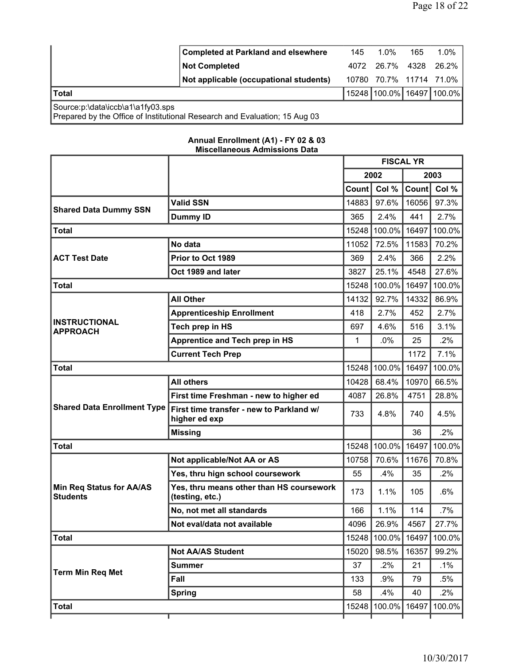|                                   | <b>Completed at Parkland and elsewhere</b>                                 | 145   | $1.0\%$           | 165  | $1.0\%$                         |
|-----------------------------------|----------------------------------------------------------------------------|-------|-------------------|------|---------------------------------|
|                                   | <b>Not Completed</b>                                                       | 4072  | 26.7%             | 4328 | 26.2%                           |
|                                   | Not applicable (occupational students)                                     | 10780 | 70.7% 11714 71.0% |      |                                 |
| <b>Total</b>                      |                                                                            |       |                   |      | 15248   100.0%   16497   100.0% |
| Source:p:\data\iccb\a1\a1fy03.sps | Prepared by the Office of Institutional Research and Evaluation; 15 Aug 03 |       |                   |      |                                 |

## **Annual Enrollment (A1) - FY 02 & 03 Miscellaneous Admissions Data**

|                                                    |                                                             | <b>FISCAL YR</b> |              |       |        |
|----------------------------------------------------|-------------------------------------------------------------|------------------|--------------|-------|--------|
|                                                    |                                                             |                  | 2002         |       | 2003   |
|                                                    |                                                             | Count            | Col %        | Count | Col %  |
| <b>Shared Data Dummy SSN</b>                       | <b>Valid SSN</b>                                            | 14883            | 97.6%        | 16056 | 97.3%  |
|                                                    | <b>Dummy ID</b>                                             | 365              | 2.4%         | 441   | 2.7%   |
| <b>Total</b>                                       |                                                             | 15248            | 100.0%       | 16497 | 100.0% |
|                                                    | No data                                                     | 11052            | 72.5%        | 11583 | 70.2%  |
| <b>ACT Test Date</b>                               | Prior to Oct 1989                                           | 369              | 2.4%         | 366   | 2.2%   |
|                                                    | Oct 1989 and later                                          | 3827             | 25.1%        | 4548  | 27.6%  |
| <b>Total</b>                                       |                                                             | 15248            | 100.0%       | 16497 | 100.0% |
|                                                    | <b>All Other</b>                                            | 14132            | 92.7%        | 14332 | 86.9%  |
|                                                    | <b>Apprenticeship Enrollment</b>                            | 418              | 2.7%         | 452   | 2.7%   |
| <b>INSTRUCTIONAL</b><br><b>APPROACH</b>            | Tech prep in HS                                             | 697              | 4.6%         | 516   | 3.1%   |
|                                                    | Apprentice and Tech prep in HS                              | $\mathbf{1}$     | .0%          | 25    | .2%    |
|                                                    | <b>Current Tech Prep</b>                                    |                  |              | 1172  | 7.1%   |
| <b>Total</b>                                       |                                                             | 15248            | 100.0%       | 16497 | 100.0% |
|                                                    | <b>All others</b>                                           | 10428            | 68.4%        | 10970 | 66.5%  |
|                                                    | First time Freshman - new to higher ed                      | 4087             | 26.8%        | 4751  | 28.8%  |
| <b>Shared Data Enrollment Type</b>                 | First time transfer - new to Parkland w/<br>higher ed exp   | 733              | 4.8%         | 740   | 4.5%   |
|                                                    | <b>Missing</b>                                              |                  |              | 36    | 2%     |
| <b>Total</b>                                       |                                                             | 15248            | 100.0%       | 16497 | 100.0% |
|                                                    | Not applicable/Not AA or AS                                 | 10758            | 70.6%        | 11676 | 70.8%  |
|                                                    | Yes, thru hign school coursework                            | 55               | .4%          | 35    | $.2\%$ |
| <b>Min Req Status for AA/AS</b><br><b>Students</b> | Yes, thru means other than HS coursework<br>(testing, etc.) | 173              | 1.1%         | 105   | .6%    |
|                                                    | No, not met all standards                                   | 166              | 1.1%         | 114   | .7%    |
|                                                    | Not eval/data not available                                 | 4096             | 26.9%        | 4567  | 27.7%  |
| <b>Total</b>                                       |                                                             | 15248            | 100.0% 16497 |       | 100.0% |
|                                                    | <b>Not AA/AS Student</b>                                    | 15020            | 98.5%        | 16357 | 99.2%  |
| <b>Term Min Req Met</b>                            | <b>Summer</b>                                               | 37               | $.2\%$       | 21    | .1%    |
|                                                    | Fall                                                        | 133              | .9%          | 79    | .5%    |
|                                                    | <b>Spring</b>                                               | 58               | .4%          | 40    | .2%    |
| <b>Total</b>                                       |                                                             | 15248            | 100.0%       | 16497 | 100.0% |
|                                                    |                                                             |                  |              |       |        |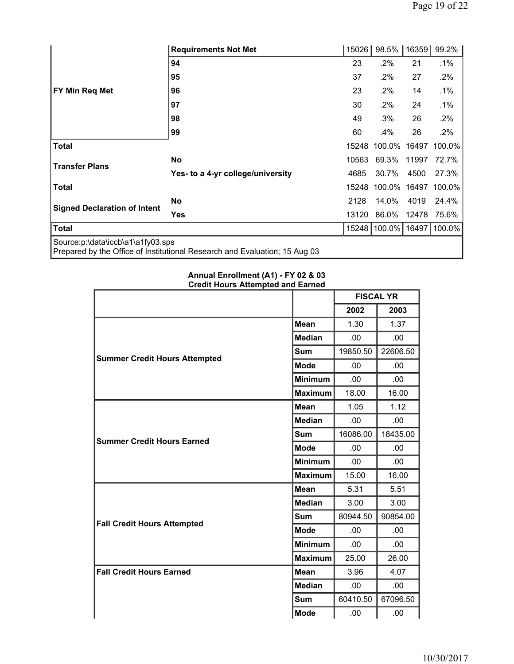|                                     | <b>Requirements Not Met</b>                                                | 15026 | 98.5%     | 16359 | 99.2%  |
|-------------------------------------|----------------------------------------------------------------------------|-------|-----------|-------|--------|
|                                     | 94                                                                         | 23    | $.2\%$    | 21    | .1%    |
|                                     | 95                                                                         | 37    | .2%       | 27    | .2%    |
| FY Min Req Met                      | 96                                                                         | 23    | $.2\%$    | 14    | .1%    |
|                                     | 97                                                                         | 30    | .2%       | 24    | $.1\%$ |
|                                     | 98                                                                         | 49    | .3%       | 26    | .2%    |
|                                     | 99                                                                         | 60    | .4%       | 26    | .2%    |
| <b>Total</b>                        |                                                                            | 15248 | 100.0%    | 16497 | 100.0% |
| <b>Transfer Plans</b>               | <b>No</b>                                                                  | 10563 | 69.3%     | 11997 | 72.7%  |
|                                     | Yes- to a 4-yr college/university                                          | 4685  | 30.7%     | 4500  | 27.3%  |
| <b>Total</b>                        |                                                                            | 15248 | 100.0%    | 16497 | 100.0% |
|                                     | <b>No</b>                                                                  | 2128  | 14.0%     | 4019  | 24.4%  |
| <b>Signed Declaration of Intent</b> | <b>Yes</b>                                                                 | 13120 | 86.0%     | 12478 | 75.6%  |
| <b>Total</b>                        |                                                                            | 15248 | $100.0\%$ | 16497 | 100.0% |
| Source:p:\data\iccb\a1\a1fy03.sps   | Prepared by the Office of Institutional Research and Evaluation; 15 Aug 03 |       |           |       |        |

| <br><b>Credit Hours Attempted and Earned</b> |                |          |                  |
|----------------------------------------------|----------------|----------|------------------|
|                                              |                |          | <b>FISCAL YR</b> |
|                                              |                | 2002     | 2003             |
|                                              | <b>Mean</b>    | 1.30     | 1.37             |
|                                              | <b>Median</b>  | .00      | .00              |
| Sum<br><b>Summer Credit Hours Attempted</b>  |                | 19850.50 | 22606.50         |
|                                              | <b>Mode</b>    | .00      | .00              |
|                                              | <b>Minimum</b> | .00.     | .00.             |
|                                              | <b>Maximum</b> | 18.00    | 16.00            |
|                                              | <b>Mean</b>    | 1.05     | 1.12             |
|                                              | <b>Median</b>  | .00.     | .00              |
| <b>Summer Credit Hours Earned</b>            | Sum            | 16086.00 | 18435.00         |
|                                              | <b>Mode</b>    | .00      | .00              |
|                                              | <b>Minimum</b> | .00.     | .00.             |
|                                              | <b>Maximum</b> | 15.00    | 16.00            |
|                                              | Mean           | 5.31     | 5.51             |
|                                              | <b>Median</b>  | 3.00     | 3.00             |
| <b>Fall Credit Hours Attempted</b>           | <b>Sum</b>     | 80944.50 | 90854.00         |
|                                              | <b>Mode</b>    | .00      | .00              |
|                                              | <b>Minimum</b> | .00.     | .00.             |
|                                              | <b>Maximum</b> | 25.00    | 26.00            |
| <b>Fall Credit Hours Earned</b>              | <b>Mean</b>    | 3.96     | 4.07             |
|                                              | <b>Median</b>  | .00.     | .00              |
|                                              | Sum            | 60410.50 | 67096.50         |
|                                              | <b>Mode</b>    | .00      | .00              |

## **Annual Enrollment (A1) - FY 02 & 03**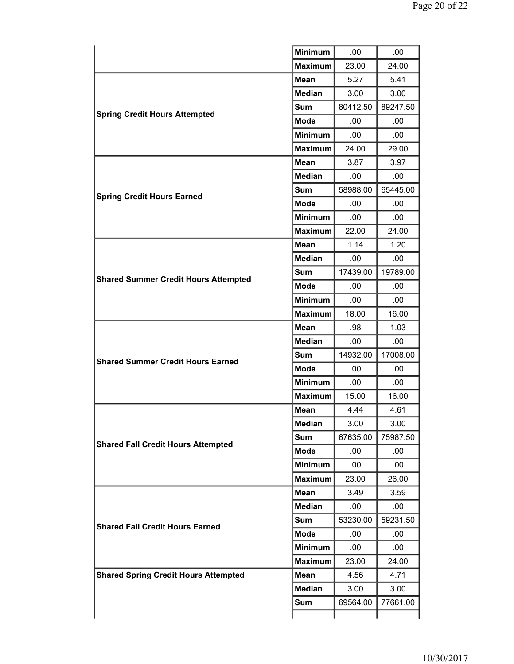|                                             | <b>Minimum</b> | .00      | .00      |
|---------------------------------------------|----------------|----------|----------|
|                                             | <b>Maximum</b> | 23.00    | 24.00    |
|                                             | <b>Mean</b>    | 5.27     | 5.41     |
|                                             | <b>Median</b>  | 3.00     | 3.00     |
|                                             | <b>Sum</b>     | 80412.50 | 89247.50 |
| <b>Spring Credit Hours Attempted</b>        | <b>Mode</b>    | .00      | .00      |
|                                             | <b>Minimum</b> | .00      | .00.     |
|                                             | <b>Maximum</b> | 24.00    | 29.00    |
|                                             | <b>Mean</b>    | 3.87     | 3.97     |
|                                             | <b>Median</b>  | .00      | .00      |
| <b>Spring Credit Hours Earned</b>           | Sum            | 58988.00 | 65445.00 |
|                                             | <b>Mode</b>    | .00      | .00      |
| <b>Minimum</b>                              |                | .00      | .00      |
|                                             | <b>Maximum</b> | 22.00    | 24.00    |
|                                             | <b>Mean</b>    | 1.14     | 1.20     |
|                                             | <b>Median</b>  | .00.     | .00.     |
| <b>Shared Summer Credit Hours Attempted</b> | <b>Sum</b>     | 17439.00 | 19789.00 |
|                                             | <b>Mode</b>    | .00      | .00.     |
|                                             | <b>Minimum</b> | .00.     | .00.     |
|                                             | <b>Maximum</b> | 18.00    | 16.00    |
|                                             | <b>Mean</b>    | .98      | 1.03     |
|                                             | <b>Median</b>  | .00      | .00      |
| <b>Shared Summer Credit Hours Earned</b>    | Sum            | 14932.00 | 17008.00 |
|                                             | <b>Mode</b>    | .00      | .00.     |
|                                             | <b>Minimum</b> | .00      | .00      |
|                                             | <b>Maximum</b> | 15.00    | 16.00    |
|                                             | <b>Mean</b>    | 4.44     | 4.61     |
|                                             | <b>Median</b>  | 3.00     | 3.00     |
| <b>Shared Fall Credit Hours Attempted</b>   | Sum            | 67635.00 | 75987.50 |
|                                             | <b>Mode</b>    | .00      | .00      |
|                                             | <b>Minimum</b> | .00.     | .00      |
|                                             | <b>Maximum</b> | 23.00    | 26.00    |
|                                             | <b>Mean</b>    | 3.49     | 3.59     |
|                                             | <b>Median</b>  | .00      | .00.     |
| <b>Shared Fall Credit Hours Earned</b>      | <b>Sum</b>     | 53230.00 | 59231.50 |
|                                             | <b>Mode</b>    | .00      | .00      |
|                                             | <b>Minimum</b> | .00.     | .00      |
|                                             | <b>Maximum</b> | 23.00    | 24.00    |
| <b>Shared Spring Credit Hours Attempted</b> | <b>Mean</b>    | 4.56     | 4.71     |
|                                             | Median         | 3.00     | 3.00     |
|                                             | <b>Sum</b>     | 69564.00 | 77661.00 |
|                                             |                |          |          |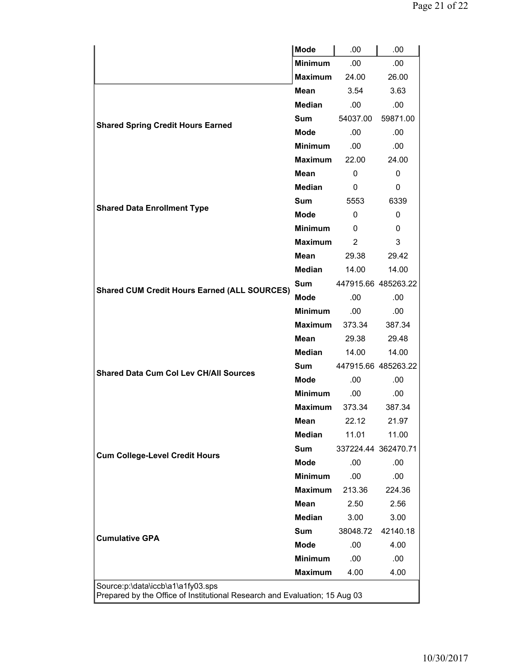|                                                                                                                 | <b>Mode</b>    | .00                 | .00                 |  |  |  |
|-----------------------------------------------------------------------------------------------------------------|----------------|---------------------|---------------------|--|--|--|
|                                                                                                                 | <b>Minimum</b> | .00.                | .00.                |  |  |  |
|                                                                                                                 | <b>Maximum</b> | 24.00               | 26.00               |  |  |  |
|                                                                                                                 | Mean           | 3.54                | 3.63                |  |  |  |
|                                                                                                                 | <b>Median</b>  | .00                 | .00.                |  |  |  |
|                                                                                                                 | <b>Sum</b>     | 54037.00            | 59871.00            |  |  |  |
| <b>Shared Spring Credit Hours Earned</b>                                                                        | <b>Mode</b>    | .00                 | .00                 |  |  |  |
|                                                                                                                 | <b>Minimum</b> | .00.                | .00                 |  |  |  |
|                                                                                                                 | <b>Maximum</b> | 22.00               | 24.00               |  |  |  |
|                                                                                                                 | Mean           | 0                   | $\Omega$            |  |  |  |
|                                                                                                                 | <b>Median</b>  | 0                   | 0                   |  |  |  |
|                                                                                                                 | <b>Sum</b>     | 5553                | 6339                |  |  |  |
| <b>Shared Data Enrollment Type</b>                                                                              | <b>Mode</b>    | 0                   | $\Omega$            |  |  |  |
|                                                                                                                 | <b>Minimum</b> | 0                   | 0                   |  |  |  |
|                                                                                                                 | <b>Maximum</b> | $\overline{2}$      | 3                   |  |  |  |
|                                                                                                                 | <b>Mean</b>    | 29.38               | 29.42               |  |  |  |
|                                                                                                                 | <b>Median</b>  | 14.00               | 14.00               |  |  |  |
|                                                                                                                 | <b>Sum</b>     |                     | 447915.66 485263.22 |  |  |  |
| <b>Shared CUM Credit Hours Earned (ALL SOURCES)</b>                                                             | <b>Mode</b>    | .00                 | .00                 |  |  |  |
|                                                                                                                 | <b>Minimum</b> | .00                 | .00                 |  |  |  |
|                                                                                                                 | Maximum        | 373.34              | 387.34              |  |  |  |
|                                                                                                                 | <b>Mean</b>    | 29.38               | 29.48               |  |  |  |
|                                                                                                                 | <b>Median</b>  | 14.00               | 14.00               |  |  |  |
| <b>Shared Data Cum Col Lev CH/All Sources</b>                                                                   | <b>Sum</b>     | 447915.66 485263.22 |                     |  |  |  |
|                                                                                                                 | <b>Mode</b>    | .00                 | .00                 |  |  |  |
|                                                                                                                 | <b>Minimum</b> | .00                 | .00                 |  |  |  |
|                                                                                                                 | <b>Maximum</b> | 373.34              | 387.34              |  |  |  |
|                                                                                                                 | Mean           | 22.12               | 21.97               |  |  |  |
|                                                                                                                 | <b>Median</b>  | 11.01               | 11.00               |  |  |  |
| <b>Cum College-Level Credit Hours</b>                                                                           | <b>Sum</b>     | 337224.44 362470.71 |                     |  |  |  |
|                                                                                                                 | <b>Mode</b>    | .00                 | .00                 |  |  |  |
|                                                                                                                 | <b>Minimum</b> | .00                 | .00.                |  |  |  |
|                                                                                                                 | <b>Maximum</b> | 213.36              | 224.36              |  |  |  |
|                                                                                                                 | <b>Mean</b>    | 2.50                | 2.56                |  |  |  |
|                                                                                                                 | <b>Median</b>  | 3.00                | 3.00                |  |  |  |
| <b>Cumulative GPA</b>                                                                                           | <b>Sum</b>     | 38048.72            | 42140.18            |  |  |  |
|                                                                                                                 | <b>Mode</b>    | .00                 | 4.00                |  |  |  |
|                                                                                                                 | <b>Minimum</b> | .00                 | .00                 |  |  |  |
|                                                                                                                 | <b>Maximum</b> | 4.00                | 4.00                |  |  |  |
| Source:p:\data\iccb\a1\a1fy03.sps<br>Prepared by the Office of Institutional Research and Evaluation; 15 Aug 03 |                |                     |                     |  |  |  |